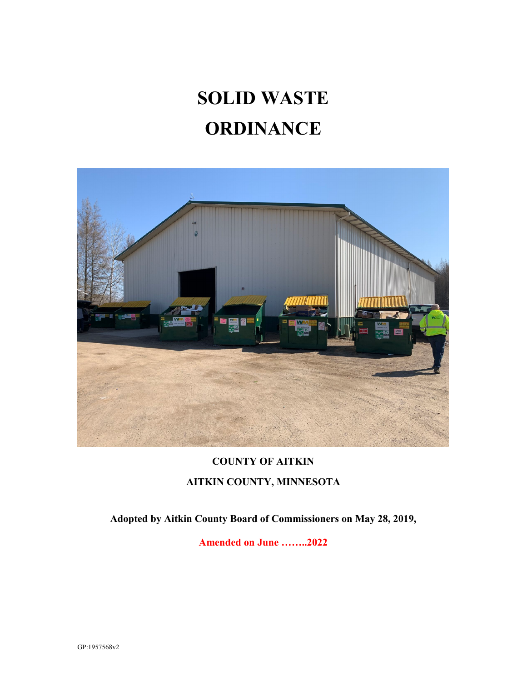# **SOLID WASTE ORDINANCE**



# **COUNTY OF AITKIN AITKIN COUNTY, MINNESOTA**

**Adopted by Aitkin County Board of Commissioners on May 28, 2019,**

**Amended on June ……..2022**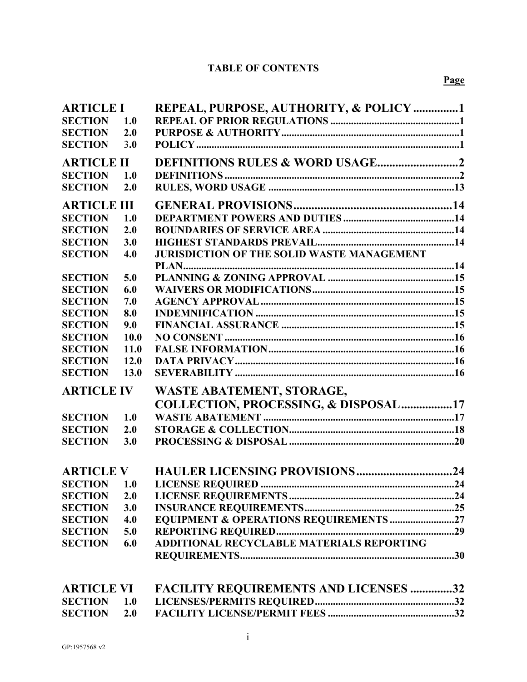# **TABLE OF CONTENTS**

| <b>ARTICLE I</b>   |            | REPEAL, PURPOSE, AUTHORITY, & POLICY 1            |  |
|--------------------|------------|---------------------------------------------------|--|
| <b>SECTION</b>     | 1.0        |                                                   |  |
| <b>SECTION</b>     | 2.0        |                                                   |  |
| <b>SECTION</b>     | <b>3.0</b> |                                                   |  |
| <b>ARTICLE II</b>  |            |                                                   |  |
| <b>SECTION</b>     | 1.0        |                                                   |  |
| <b>SECTION</b>     | 2.0        |                                                   |  |
|                    |            |                                                   |  |
| <b>ARTICLE III</b> |            |                                                   |  |
| <b>SECTION</b>     | 1.0        |                                                   |  |
| <b>SECTION</b>     | 2.0        |                                                   |  |
| <b>SECTION</b>     | 3.0        |                                                   |  |
| <b>SECTION</b>     | 4.0        | <b>JURISDICTION OF THE SOLID WASTE MANAGEMENT</b> |  |
|                    |            |                                                   |  |
| <b>SECTION</b>     | 5.0        |                                                   |  |
| <b>SECTION</b>     | 6.0        |                                                   |  |
| <b>SECTION</b>     | 7.0        |                                                   |  |
| <b>SECTION</b>     | 8.0        |                                                   |  |
| <b>SECTION</b>     | 9.0        |                                                   |  |
| <b>SECTION</b>     | 10.0       |                                                   |  |
| <b>SECTION</b>     | 11.0       |                                                   |  |
| <b>SECTION</b>     | 12.0       |                                                   |  |
| <b>SECTION</b>     | 13.0       |                                                   |  |
| <b>ARTICLE IV</b>  |            | <b>WASTE ABATEMENT, STORAGE,</b>                  |  |
|                    |            | COLLECTION, PROCESSING, & DISPOSAL17              |  |
| <b>SECTION</b>     | 1.0        |                                                   |  |
| <b>SECTION</b>     | 2.0        |                                                   |  |
| <b>SECTION</b>     | 3.0        |                                                   |  |
|                    |            |                                                   |  |
| <b>ARTICLE V</b>   |            |                                                   |  |
| <b>SECTION</b> 1.0 |            |                                                   |  |
| <b>SECTION</b>     | 2.0        |                                                   |  |
| <b>SECTION</b>     | 3.0        |                                                   |  |
| <b>SECTION</b>     | 4.0        | <b>EQUIPMENT &amp; OPERATIONS REQUIREMENTS 27</b> |  |
| <b>SECTION</b>     | 5.0        |                                                   |  |
| <b>SECTION</b>     | 6.0        | ADDITIONAL RECYCLABLE MATERIALS REPORTING         |  |
|                    |            |                                                   |  |
|                    |            |                                                   |  |
| <b>ARTICLE VI</b>  |            | <b>FACILITY REQUIREMENTS AND LICENSES 32</b>      |  |
| <b>SECTION</b>     | 1.0        |                                                   |  |
| <b>SECTION</b>     | 2.0        |                                                   |  |
|                    |            |                                                   |  |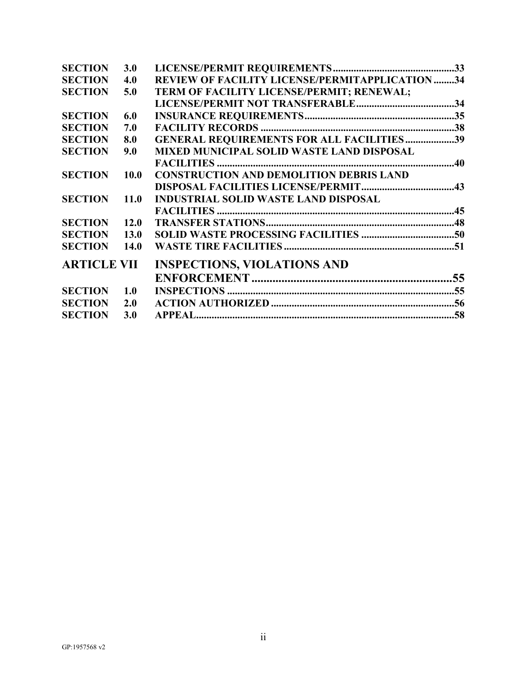| <b>SECTION</b>     | 3.0         |                                                  |  |
|--------------------|-------------|--------------------------------------------------|--|
| <b>SECTION</b>     | 4.0         | REVIEW OF FACILITY LICENSE/PERMITAPPLICATION 34  |  |
| <b>SECTION</b>     | 5.0         | TERM OF FACILITY LICENSE/PERMIT; RENEWAL;        |  |
|                    |             |                                                  |  |
| <b>SECTION</b>     | 6.0         |                                                  |  |
| <b>SECTION</b>     | 7.0         |                                                  |  |
| <b>SECTION</b>     | 8.0         | <b>GENERAL REQUIREMENTS FOR ALL FACILITIES39</b> |  |
| <b>SECTION</b>     | 9.0         | <b>MIXED MUNICIPAL SOLID WASTE LAND DISPOSAL</b> |  |
|                    |             |                                                  |  |
| <b>SECTION</b>     | 10.0        | <b>CONSTRUCTION AND DEMOLITION DEBRIS LAND</b>   |  |
|                    |             |                                                  |  |
| <b>SECTION</b>     | <b>11.0</b> | <b>INDUSTRIAL SOLID WASTE LAND DISPOSAL</b>      |  |
|                    |             |                                                  |  |
| <b>SECTION</b>     | 12.0        |                                                  |  |
| <b>SECTION</b>     | <b>13.0</b> |                                                  |  |
| <b>SECTION</b>     | <b>14.0</b> |                                                  |  |
| <b>ARTICLE VII</b> |             | <b>INSPECTIONS, VIOLATIONS AND</b>               |  |
|                    |             |                                                  |  |
| <b>SECTION</b> 1.0 |             |                                                  |  |
| <b>SECTION</b>     | 2.0         |                                                  |  |
| <b>SECTION</b>     | 3.0         |                                                  |  |
|                    |             |                                                  |  |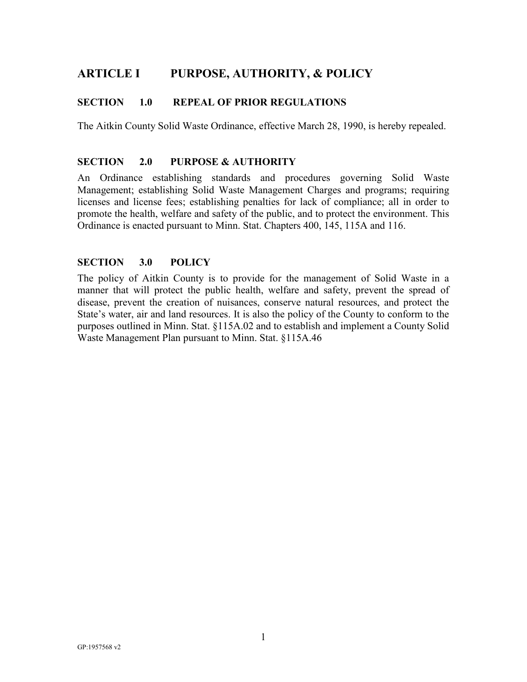# <span id="page-3-0"></span>**ARTICLE I PURPOSE, AUTHORITY, & POLICY**

# <span id="page-3-1"></span>**SECTION 1.0 REPEAL OF PRIOR REGULATIONS**

The Aitkin County Solid Waste Ordinance, effective March 28, 1990, is hereby repealed.

#### **SECTION 2.0 PURPOSE & AUTHORITY**

An Ordinance establishing standards and procedures governing Solid Waste Management; establishing Solid Waste Management Charges and programs; requiring licenses and license fees; establishing penalties for lack of compliance; all in order to promote the health, welfare and safety of the public, and to protect the environment. This Ordinance is enacted pursuant to Minn. Stat. Chapters 400, 145, 115A and 116.

#### <span id="page-3-2"></span>**SECTION 3.0 POLICY**

The policy of Aitkin County is to provide for the management of Solid Waste in a manner that will protect the public health, welfare and safety, prevent the spread of disease, prevent the creation of nuisances, conserve natural resources, and protect the State's water, air and land resources. It is also the policy of the County to conform to the purposes outlined in Minn. Stat. §115A.02 and to establish and implement a County Solid Waste Management Plan pursuant to Minn. Stat. §115A.46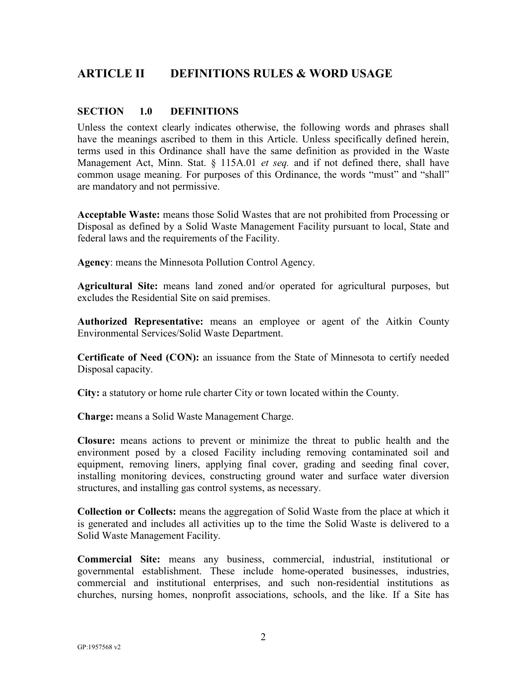# <span id="page-4-0"></span>**ARTICLE II DEFINITIONS RULES & WORD USAGE**

# <span id="page-4-1"></span>**SECTION 1.0 DEFINITIONS**

Unless the context clearly indicates otherwise, the following words and phrases shall have the meanings ascribed to them in this Article. Unless specifically defined herein, terms used in this Ordinance shall have the same definition as provided in the Waste Management Act, Minn. Stat. § 115A.01 *et seq.* and if not defined there, shall have common usage meaning. For purposes of this Ordinance, the words "must" and "shall" are mandatory and not permissive.

**Acceptable Waste:** means those Solid Wastes that are not prohibited from Processing or Disposal as defined by a Solid Waste Management Facility pursuant to local, State and federal laws and the requirements of the Facility.

**Agency**: means the Minnesota Pollution Control Agency.

**Agricultural Site:** means land zoned and/or operated for agricultural purposes, but excludes the Residential Site on said premises.

**Authorized Representative:** means an employee or agent of the Aitkin County Environmental Services/Solid Waste Department.

**Certificate of Need (CON):** an issuance from the State of Minnesota to certify needed Disposal capacity.

**City:** a statutory or home rule charter City or town located within the County.

**Charge:** means a Solid Waste Management Charge.

**Closure:** means actions to prevent or minimize the threat to public health and the environment posed by a closed Facility including removing contaminated soil and equipment, removing liners, applying final cover, grading and seeding final cover, installing monitoring devices, constructing ground water and surface water diversion structures, and installing gas control systems, as necessary.

**Collection or Collects:** means the aggregation of Solid Waste from the place at which it is generated and includes all activities up to the time the Solid Waste is delivered to a Solid Waste Management Facility.

**Commercial Site:** means any business, commercial, industrial, institutional or governmental establishment. These include home-operated businesses, industries, commercial and institutional enterprises, and such non-residential institutions as churches, nursing homes, nonprofit associations, schools, and the like. If a Site has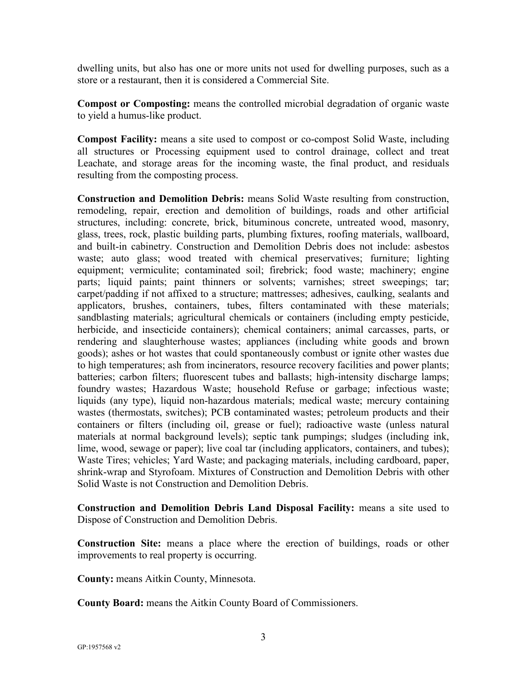dwelling units, but also has one or more units not used for dwelling purposes, such as a store or a restaurant, then it is considered a Commercial Site.

**Compost or Composting:** means the controlled microbial degradation of organic waste to yield a humus-like product.

**Compost Facility:** means a site used to compost or co-compost Solid Waste, including all structures or Processing equipment used to control drainage, collect and treat Leachate, and storage areas for the incoming waste, the final product, and residuals resulting from the composting process.

**Construction and Demolition Debris:** means Solid Waste resulting from construction, remodeling, repair, erection and demolition of buildings, roads and other artificial structures, including: concrete, brick, bituminous concrete, untreated wood, masonry, glass, trees, rock, plastic building parts, plumbing fixtures, roofing materials, wallboard, and built-in cabinetry. Construction and Demolition Debris does not include: asbestos waste; auto glass; wood treated with chemical preservatives; furniture; lighting equipment; vermiculite; contaminated soil; firebrick; food waste; machinery; engine parts; liquid paints; paint thinners or solvents; varnishes; street sweepings; tar; carpet/padding if not affixed to a structure; mattresses; adhesives, caulking, sealants and applicators, brushes, containers, tubes, filters contaminated with these materials; sandblasting materials; agricultural chemicals or containers (including empty pesticide, herbicide, and insecticide containers); chemical containers; animal carcasses, parts, or rendering and slaughterhouse wastes; appliances (including white goods and brown goods); ashes or hot wastes that could spontaneously combust or ignite other wastes due to high temperatures; ash from incinerators, resource recovery facilities and power plants; batteries; carbon filters; fluorescent tubes and ballasts; high-intensity discharge lamps; foundry wastes; Hazardous Waste; household Refuse or garbage; infectious waste; liquids (any type), liquid non-hazardous materials; medical waste; mercury containing wastes (thermostats, switches); PCB contaminated wastes; petroleum products and their containers or filters (including oil, grease or fuel); radioactive waste (unless natural materials at normal background levels); septic tank pumpings; sludges (including ink, lime, wood, sewage or paper); live coal tar (including applicators, containers, and tubes); Waste Tires; vehicles; Yard Waste; and packaging materials, including cardboard, paper, shrink-wrap and Styrofoam. Mixtures of Construction and Demolition Debris with other Solid Waste is not Construction and Demolition Debris.

**Construction and Demolition Debris Land Disposal Facility:** means a site used to Dispose of Construction and Demolition Debris.

**Construction Site:** means a place where the erection of buildings, roads or other improvements to real property is occurring.

**County:** means Aitkin County, Minnesota.

**County Board:** means the Aitkin County Board of Commissioners.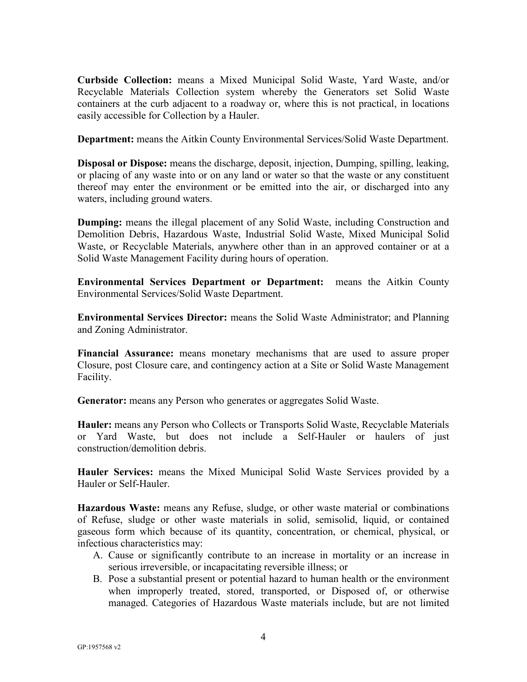**Curbside Collection:** means a Mixed Municipal Solid Waste, Yard Waste, and/or Recyclable Materials Collection system whereby the Generators set Solid Waste containers at the curb adjacent to a roadway or, where this is not practical, in locations easily accessible for Collection by a Hauler.

**Department:** means the Aitkin County Environmental Services/Solid Waste Department.

**Disposal or Dispose:** means the discharge, deposit, injection, Dumping, spilling, leaking, or placing of any waste into or on any land or water so that the waste or any constituent thereof may enter the environment or be emitted into the air, or discharged into any waters, including ground waters.

**Dumping:** means the illegal placement of any Solid Waste, including Construction and Demolition Debris, Hazardous Waste, Industrial Solid Waste, Mixed Municipal Solid Waste, or Recyclable Materials, anywhere other than in an approved container or at a Solid Waste Management Facility during hours of operation.

**Environmental Services Department or Department:** means the Aitkin County Environmental Services/Solid Waste Department.

**Environmental Services Director:** means the Solid Waste Administrator; and Planning and Zoning Administrator.

**Financial Assurance:** means monetary mechanisms that are used to assure proper Closure, post Closure care, and contingency action at a Site or Solid Waste Management Facility.

**Generator:** means any Person who generates or aggregates Solid Waste.

**Hauler:** means any Person who Collects or Transports Solid Waste, Recyclable Materials or Yard Waste, but does not include a Self-Hauler or haulers of just construction/demolition debris.

**Hauler Services:** means the Mixed Municipal Solid Waste Services provided by a Hauler or Self-Hauler.

**Hazardous Waste:** means any Refuse, sludge, or other waste material or combinations of Refuse, sludge or other waste materials in solid, semisolid, liquid, or contained gaseous form which because of its quantity, concentration, or chemical, physical, or infectious characteristics may:

- A. Cause or significantly contribute to an increase in mortality or an increase in serious irreversible, or incapacitating reversible illness; or
- B. Pose a substantial present or potential hazard to human health or the environment when improperly treated, stored, transported, or Disposed of, or otherwise managed. Categories of Hazardous Waste materials include, but are not limited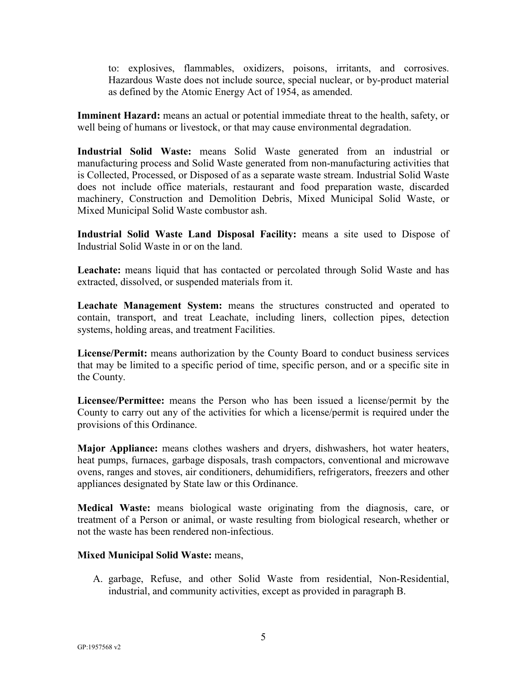to: explosives, flammables, oxidizers, poisons, irritants, and corrosives. Hazardous Waste does not include source, special nuclear, or by-product material as defined by the Atomic Energy Act of 1954, as amended.

**Imminent Hazard:** means an actual or potential immediate threat to the health, safety, or well being of humans or livestock, or that may cause environmental degradation.

**Industrial Solid Waste:** means Solid Waste generated from an industrial or manufacturing process and Solid Waste generated from non-manufacturing activities that is Collected, Processed, or Disposed of as a separate waste stream. Industrial Solid Waste does not include office materials, restaurant and food preparation waste, discarded machinery, Construction and Demolition Debris, Mixed Municipal Solid Waste, or Mixed Municipal Solid Waste combustor ash.

**Industrial Solid Waste Land Disposal Facility:** means a site used to Dispose of Industrial Solid Waste in or on the land.

**Leachate:** means liquid that has contacted or percolated through Solid Waste and has extracted, dissolved, or suspended materials from it.

**Leachate Management System:** means the structures constructed and operated to contain, transport, and treat Leachate, including liners, collection pipes, detection systems, holding areas, and treatment Facilities.

**License/Permit:** means authorization by the County Board to conduct business services that may be limited to a specific period of time, specific person, and or a specific site in the County.

**Licensee/Permittee:** means the Person who has been issued a license/permit by the County to carry out any of the activities for which a license/permit is required under the provisions of this Ordinance.

**Major Appliance:** means clothes washers and dryers, dishwashers, hot water heaters, heat pumps, furnaces, garbage disposals, trash compactors, conventional and microwave ovens, ranges and stoves, air conditioners, dehumidifiers, refrigerators, freezers and other appliances designated by State law or this Ordinance.

**Medical Waste:** means biological waste originating from the diagnosis, care, or treatment of a Person or animal, or waste resulting from biological research, whether or not the waste has been rendered non-infectious.

#### **Mixed Municipal Solid Waste:** means,

A. garbage, Refuse, and other Solid Waste from residential, Non-Residential, industrial, and community activities, except as provided in paragraph B.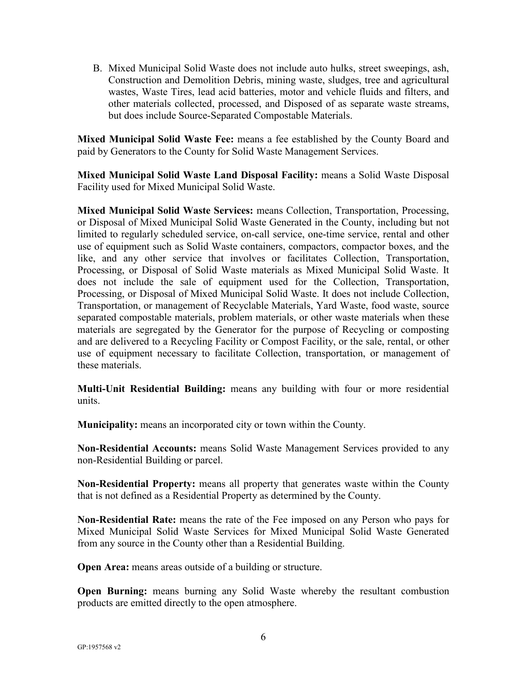B. Mixed Municipal Solid Waste does not include auto hulks, street sweepings, ash, Construction and Demolition Debris, mining waste, sludges, tree and agricultural wastes, Waste Tires, lead acid batteries, motor and vehicle fluids and filters, and other materials collected, processed, and Disposed of as separate waste streams, but does include Source-Separated Compostable Materials.

**Mixed Municipal Solid Waste Fee:** means a fee established by the County Board and paid by Generators to the County for Solid Waste Management Services.

**Mixed Municipal Solid Waste Land Disposal Facility:** means a Solid Waste Disposal Facility used for Mixed Municipal Solid Waste.

**Mixed Municipal Solid Waste Services:** means Collection, Transportation, Processing, or Disposal of Mixed Municipal Solid Waste Generated in the County, including but not limited to regularly scheduled service, on-call service, one-time service, rental and other use of equipment such as Solid Waste containers, compactors, compactor boxes, and the like, and any other service that involves or facilitates Collection, Transportation, Processing, or Disposal of Solid Waste materials as Mixed Municipal Solid Waste. It does not include the sale of equipment used for the Collection, Transportation, Processing, or Disposal of Mixed Municipal Solid Waste. It does not include Collection, Transportation, or management of Recyclable Materials, Yard Waste, food waste, source separated compostable materials, problem materials, or other waste materials when these materials are segregated by the Generator for the purpose of Recycling or composting and are delivered to a Recycling Facility or Compost Facility, or the sale, rental, or other use of equipment necessary to facilitate Collection, transportation, or management of these materials.

**Multi-Unit Residential Building:** means any building with four or more residential units.

**Municipality:** means an incorporated city or town within the County.

**Non-Residential Accounts:** means Solid Waste Management Services provided to any non-Residential Building or parcel.

**Non-Residential Property:** means all property that generates waste within the County that is not defined as a Residential Property as determined by the County.

**Non-Residential Rate:** means the rate of the Fee imposed on any Person who pays for Mixed Municipal Solid Waste Services for Mixed Municipal Solid Waste Generated from any source in the County other than a Residential Building.

**Open Area:** means areas outside of a building or structure.

**Open Burning:** means burning any Solid Waste whereby the resultant combustion products are emitted directly to the open atmosphere.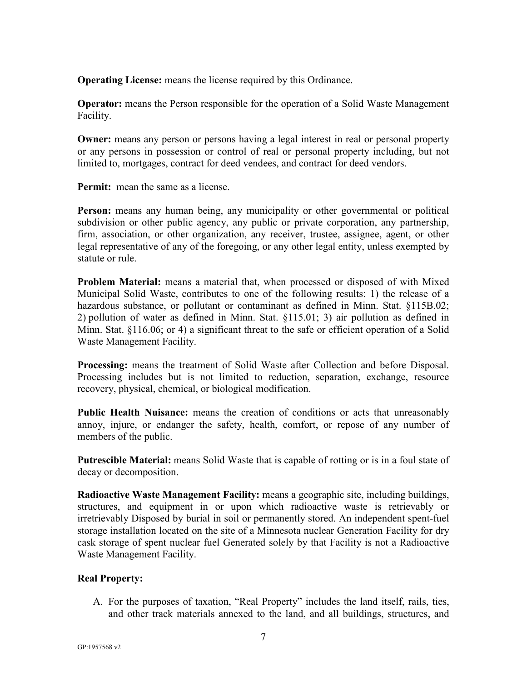**Operating License:** means the license required by this Ordinance.

**Operator:** means the Person responsible for the operation of a Solid Waste Management Facility.

**Owner:** means any person or persons having a legal interest in real or personal property or any persons in possession or control of real or personal property including, but not limited to, mortgages, contract for deed vendees, and contract for deed vendors.

**Permit:** mean the same as a license.

**Person:** means any human being, any municipality or other governmental or political subdivision or other public agency, any public or private corporation, any partnership, firm, association, or other organization, any receiver, trustee, assignee, agent, or other legal representative of any of the foregoing, or any other legal entity, unless exempted by statute or rule.

**Problem Material:** means a material that, when processed or disposed of with Mixed Municipal Solid Waste, contributes to one of the following results: 1) the release of a hazardous substance, or pollutant or contaminant as defined in Minn. Stat. §115B.02; 2) pollution of water as defined in Minn. Stat. §115.01; 3) air pollution as defined in Minn. Stat. §116.06; or 4) a significant threat to the safe or efficient operation of a Solid Waste Management Facility.

**Processing:** means the treatment of Solid Waste after Collection and before Disposal. Processing includes but is not limited to reduction, separation, exchange, resource recovery, physical, chemical, or biological modification.

**Public Health Nuisance:** means the creation of conditions or acts that unreasonably annoy, injure, or endanger the safety, health, comfort, or repose of any number of members of the public.

**Putrescible Material:** means Solid Waste that is capable of rotting or is in a foul state of decay or decomposition.

**Radioactive Waste Management Facility:** means a geographic site, including buildings, structures, and equipment in or upon which radioactive waste is retrievably or irretrievably Disposed by burial in soil or permanently stored. An independent spent-fuel storage installation located on the site of a Minnesota nuclear Generation Facility for dry cask storage of spent nuclear fuel Generated solely by that Facility is not a Radioactive Waste Management Facility.

# **Real Property:**

A. For the purposes of taxation, "Real Property" includes the land itself, rails, ties, and other track materials annexed to the land, and all buildings, structures, and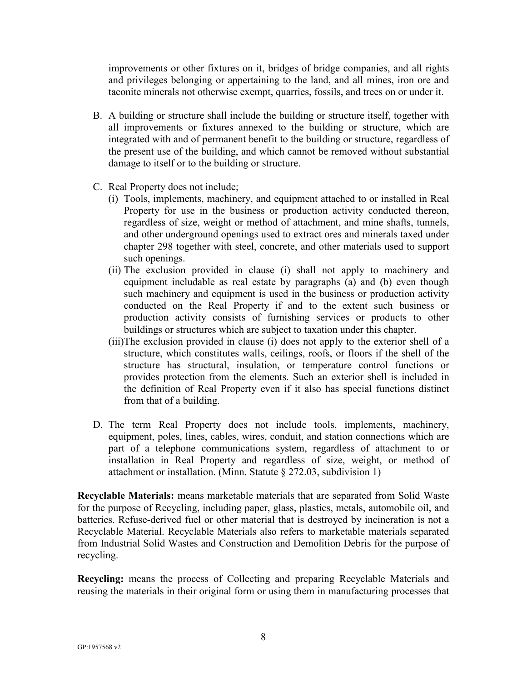improvements or other fixtures on it, bridges of bridge companies, and all rights and privileges belonging or appertaining to the land, and all mines, iron ore and taconite minerals not otherwise exempt, quarries, fossils, and trees on or under it.

- B. A building or structure shall include the building or structure itself, together with all improvements or fixtures annexed to the building or structure, which are integrated with and of permanent benefit to the building or structure, regardless of the present use of the building, and which cannot be removed without substantial damage to itself or to the building or structure.
- C. Real Property does not include;
	- (i) Tools, implements, machinery, and equipment attached to or installed in Real Property for use in the business or production activity conducted thereon, regardless of size, weight or method of attachment, and mine shafts, tunnels, and other underground openings used to extract ores and minerals taxed under chapter 298 together with steel, concrete, and other materials used to support such openings.
	- (ii) The exclusion provided in clause (i) shall not apply to machinery and equipment includable as real estate by paragraphs (a) and (b) even though such machinery and equipment is used in the business or production activity conducted on the Real Property if and to the extent such business or production activity consists of furnishing services or products to other buildings or structures which are subject to taxation under this chapter.
	- (iii)The exclusion provided in clause (i) does not apply to the exterior shell of a structure, which constitutes walls, ceilings, roofs, or floors if the shell of the structure has structural, insulation, or temperature control functions or provides protection from the elements. Such an exterior shell is included in the definition of Real Property even if it also has special functions distinct from that of a building.
- D. The term Real Property does not include tools, implements, machinery, equipment, poles, lines, cables, wires, conduit, and station connections which are part of a telephone communications system, regardless of attachment to or installation in Real Property and regardless of size, weight, or method of attachment or installation. (Minn. Statute § 272.03, subdivision 1)

**Recyclable Materials:** means marketable materials that are separated from Solid Waste for the purpose of Recycling, including paper, glass, plastics, metals, automobile oil, and batteries. Refuse-derived fuel or other material that is destroyed by incineration is not a Recyclable Material. Recyclable Materials also refers to marketable materials separated from Industrial Solid Wastes and Construction and Demolition Debris for the purpose of recycling.

**Recycling:** means the process of Collecting and preparing Recyclable Materials and reusing the materials in their original form or using them in manufacturing processes that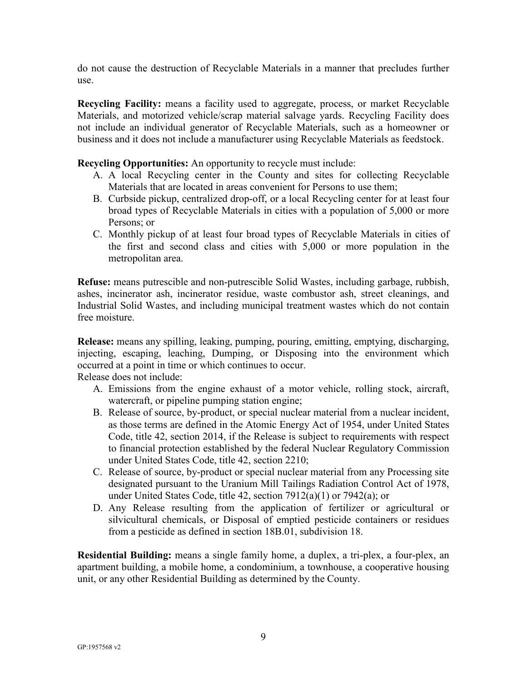do not cause the destruction of Recyclable Materials in a manner that precludes further use.

**Recycling Facility:** means a facility used to aggregate, process, or market Recyclable Materials, and motorized vehicle/scrap material salvage yards. Recycling Facility does not include an individual generator of Recyclable Materials, such as a homeowner or business and it does not include a manufacturer using Recyclable Materials as feedstock.

**Recycling Opportunities:** An opportunity to recycle must include:

- A. A local Recycling center in the County and sites for collecting Recyclable Materials that are located in areas convenient for Persons to use them;
- B. Curbside pickup, centralized drop-off, or a local Recycling center for at least four broad types of Recyclable Materials in cities with a population of 5,000 or more Persons; or
- C. Monthly pickup of at least four broad types of Recyclable Materials in cities of the first and second class and cities with 5,000 or more population in the metropolitan area.

**Refuse:** means putrescible and non-putrescible Solid Wastes, including garbage, rubbish, ashes, incinerator ash, incinerator residue, waste combustor ash, street cleanings, and Industrial Solid Wastes, and including municipal treatment wastes which do not contain free moisture.

**Release:** means any spilling, leaking, pumping, pouring, emitting, emptying, discharging, injecting, escaping, leaching, Dumping, or Disposing into the environment which occurred at a point in time or which continues to occur.

Release does not include:

- A. Emissions from the engine exhaust of a motor vehicle, rolling stock, aircraft, watercraft, or pipeline pumping station engine;
- B. Release of source, by-product, or special nuclear material from a nuclear incident, as those terms are defined in the Atomic Energy Act of 1954, under United States Code, title 42, section 2014, if the Release is subject to requirements with respect to financial protection established by the federal Nuclear Regulatory Commission under United States Code, title 42, section 2210;
- C. Release of source, by-product or special nuclear material from any Processing site designated pursuant to the Uranium Mill Tailings Radiation Control Act of 1978, under United States Code, title 42, section 7912(a)(1) or 7942(a); or
- D. Any Release resulting from the application of fertilizer or agricultural or silvicultural chemicals, or Disposal of emptied pesticide containers or residues from a pesticide as defined in section 18B.01, subdivision 18.

**Residential Building:** means a single family home, a duplex, a tri-plex, a four-plex, an apartment building, a mobile home, a condominium, a townhouse, a cooperative housing unit, or any other Residential Building as determined by the County.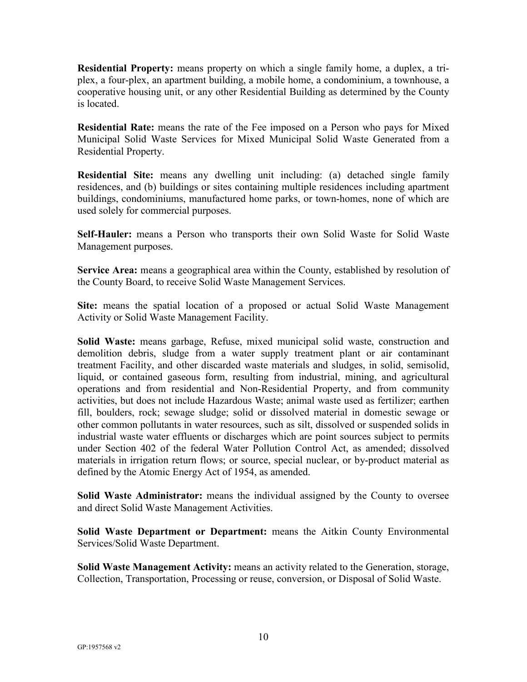**Residential Property:** means property on which a single family home, a duplex, a triplex, a four-plex, an apartment building, a mobile home, a condominium, a townhouse, a cooperative housing unit, or any other Residential Building as determined by the County is located.

**Residential Rate:** means the rate of the Fee imposed on a Person who pays for Mixed Municipal Solid Waste Services for Mixed Municipal Solid Waste Generated from a Residential Property.

**Residential Site:** means any dwelling unit including: (a) detached single family residences, and (b) buildings or sites containing multiple residences including apartment buildings, condominiums, manufactured home parks, or town-homes, none of which are used solely for commercial purposes.

**Self-Hauler:** means a Person who transports their own Solid Waste for Solid Waste Management purposes.

**Service Area:** means a geographical area within the County, established by resolution of the County Board, to receive Solid Waste Management Services.

**Site:** means the spatial location of a proposed or actual Solid Waste Management Activity or Solid Waste Management Facility.

**Solid Waste:** means garbage, Refuse, mixed municipal solid waste, construction and demolition debris, sludge from a water supply treatment plant or air contaminant treatment Facility, and other discarded waste materials and sludges, in solid, semisolid, liquid, or contained gaseous form, resulting from industrial, mining, and agricultural operations and from residential and Non-Residential Property, and from community activities, but does not include Hazardous Waste; animal waste used as fertilizer; earthen fill, boulders, rock; sewage sludge; solid or dissolved material in domestic sewage or other common pollutants in water resources, such as silt, dissolved or suspended solids in industrial waste water effluents or discharges which are point sources subject to permits under Section 402 of the federal Water Pollution Control Act, as amended; dissolved materials in irrigation return flows; or source, special nuclear, or by-product material as defined by the Atomic Energy Act of 1954, as amended.

**Solid Waste Administrator:** means the individual assigned by the County to oversee and direct Solid Waste Management Activities.

**Solid Waste Department or Department:** means the Aitkin County Environmental Services/Solid Waste Department.

**Solid Waste Management Activity:** means an activity related to the Generation, storage, Collection, Transportation, Processing or reuse, conversion, or Disposal of Solid Waste.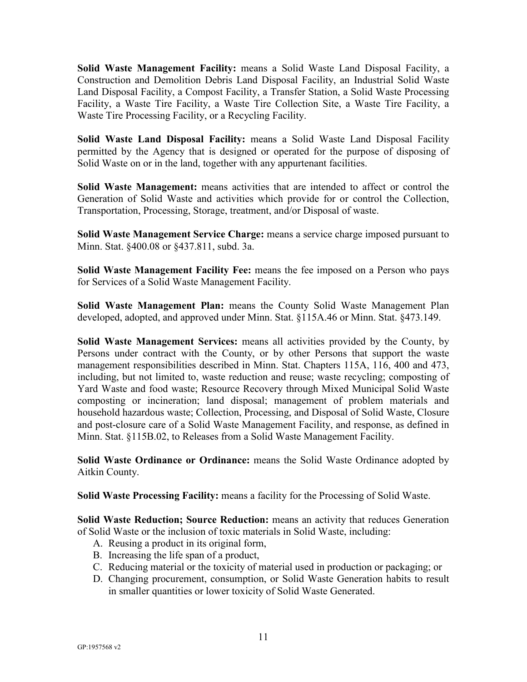**Solid Waste Management Facility:** means a Solid Waste Land Disposal Facility, a Construction and Demolition Debris Land Disposal Facility, an Industrial Solid Waste Land Disposal Facility, a Compost Facility, a Transfer Station, a Solid Waste Processing Facility, a Waste Tire Facility, a Waste Tire Collection Site, a Waste Tire Facility, a Waste Tire Processing Facility, or a Recycling Facility.

**Solid Waste Land Disposal Facility:** means a Solid Waste Land Disposal Facility permitted by the Agency that is designed or operated for the purpose of disposing of Solid Waste on or in the land, together with any appurtenant facilities.

**Solid Waste Management:** means activities that are intended to affect or control the Generation of Solid Waste and activities which provide for or control the Collection, Transportation, Processing, Storage, treatment, and/or Disposal of waste.

**Solid Waste Management Service Charge:** means a service charge imposed pursuant to Minn. Stat. §400.08 or §437.811, subd. 3a.

**Solid Waste Management Facility Fee:** means the fee imposed on a Person who pays for Services of a Solid Waste Management Facility.

**Solid Waste Management Plan:** means the County Solid Waste Management Plan developed, adopted, and approved under Minn. Stat. §115A.46 or Minn. Stat. §473.149.

**Solid Waste Management Services:** means all activities provided by the County, by Persons under contract with the County, or by other Persons that support the waste management responsibilities described in Minn. Stat. Chapters 115A, 116, 400 and 473, including, but not limited to, waste reduction and reuse; waste recycling; composting of Yard Waste and food waste; Resource Recovery through Mixed Municipal Solid Waste composting or incineration; land disposal; management of problem materials and household hazardous waste; Collection, Processing, and Disposal of Solid Waste, Closure and post-closure care of a Solid Waste Management Facility, and response, as defined in Minn. Stat. §115B.02, to Releases from a Solid Waste Management Facility.

**Solid Waste Ordinance or Ordinance:** means the Solid Waste Ordinance adopted by Aitkin County.

**Solid Waste Processing Facility:** means a facility for the Processing of Solid Waste.

**Solid Waste Reduction; Source Reduction:** means an activity that reduces Generation of Solid Waste or the inclusion of toxic materials in Solid Waste, including:

- A. Reusing a product in its original form,
- B. Increasing the life span of a product,
- C. Reducing material or the toxicity of material used in production or packaging; or
- D. Changing procurement, consumption, or Solid Waste Generation habits to result in smaller quantities or lower toxicity of Solid Waste Generated.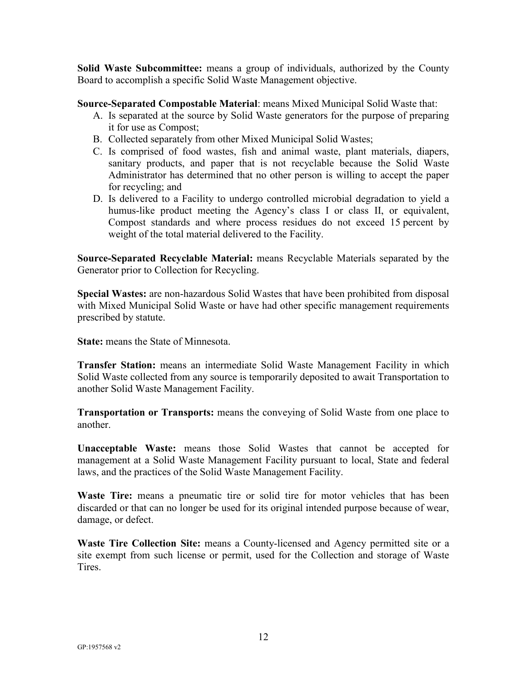**Solid Waste Subcommittee:** means a group of individuals, authorized by the County Board to accomplish a specific Solid Waste Management objective.

**Source-Separated Compostable Material**: means Mixed Municipal Solid Waste that:

- A. Is separated at the source by Solid Waste generators for the purpose of preparing it for use as Compost;
- B. Collected separately from other Mixed Municipal Solid Wastes;
- C. Is comprised of food wastes, fish and animal waste, plant materials, diapers, sanitary products, and paper that is not recyclable because the Solid Waste Administrator has determined that no other person is willing to accept the paper for recycling; and
- D. Is delivered to a Facility to undergo controlled microbial degradation to yield a humus-like product meeting the Agency's class I or class II, or equivalent, Compost standards and where process residues do not exceed 15 percent by weight of the total material delivered to the Facility.

**Source-Separated Recyclable Material:** means Recyclable Materials separated by the Generator prior to Collection for Recycling.

**Special Wastes:** are non-hazardous Solid Wastes that have been prohibited from disposal with Mixed Municipal Solid Waste or have had other specific management requirements prescribed by statute.

**State:** means the State of Minnesota.

**Transfer Station:** means an intermediate Solid Waste Management Facility in which Solid Waste collected from any source is temporarily deposited to await Transportation to another Solid Waste Management Facility.

**Transportation or Transports:** means the conveying of Solid Waste from one place to another.

**Unacceptable Waste:** means those Solid Wastes that cannot be accepted for management at a Solid Waste Management Facility pursuant to local, State and federal laws, and the practices of the Solid Waste Management Facility.

**Waste Tire:** means a pneumatic tire or solid tire for motor vehicles that has been discarded or that can no longer be used for its original intended purpose because of wear, damage, or defect.

**Waste Tire Collection Site:** means a County-licensed and Agency permitted site or a site exempt from such license or permit, used for the Collection and storage of Waste Tires.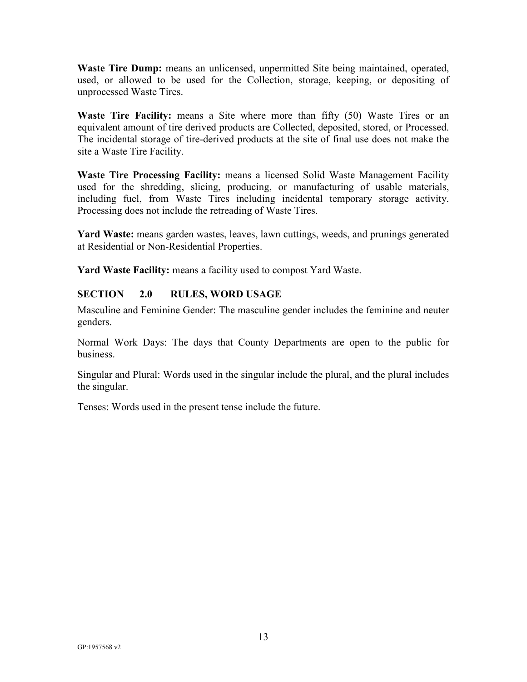**Waste Tire Dump:** means an unlicensed, unpermitted Site being maintained, operated, used, or allowed to be used for the Collection, storage, keeping, or depositing of unprocessed Waste Tires.

**Waste Tire Facility:** means a Site where more than fifty (50) Waste Tires or an equivalent amount of tire derived products are Collected, deposited, stored, or Processed. The incidental storage of tire-derived products at the site of final use does not make the site a Waste Tire Facility.

**Waste Tire Processing Facility:** means a licensed Solid Waste Management Facility used for the shredding, slicing, producing, or manufacturing of usable materials, including fuel, from Waste Tires including incidental temporary storage activity. Processing does not include the retreading of Waste Tires.

**Yard Waste:** means garden wastes, leaves, lawn cuttings, weeds, and prunings generated at Residential or Non-Residential Properties.

**Yard Waste Facility:** means a facility used to compost Yard Waste.

# <span id="page-15-0"></span>**SECTION 2.0 RULES, WORD USAGE**

Masculine and Feminine Gender: The masculine gender includes the feminine and neuter genders.

Normal Work Days: The days that County Departments are open to the public for business.

Singular and Plural: Words used in the singular include the plural, and the plural includes the singular.

Tenses: Words used in the present tense include the future.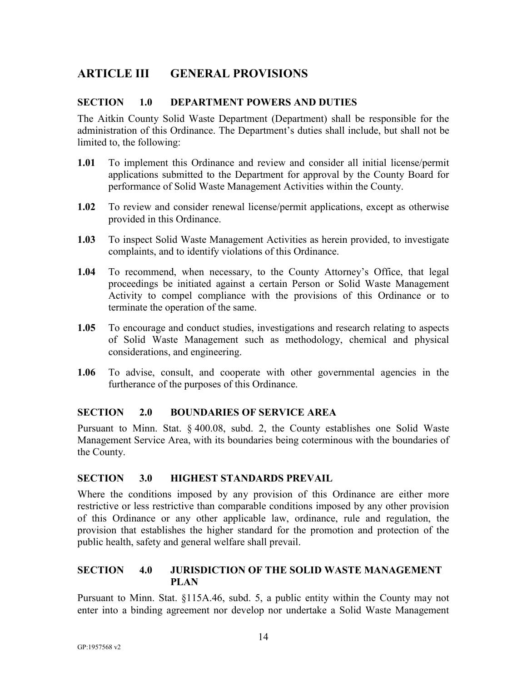# <span id="page-16-0"></span>**ARTICLE III GENERAL PROVISIONS**

#### <span id="page-16-1"></span>**SECTION 1.0 DEPARTMENT POWERS AND DUTIES**

The Aitkin County Solid Waste Department (Department) shall be responsible for the administration of this Ordinance. The Department's duties shall include, but shall not be limited to, the following:

- **1.01** To implement this Ordinance and review and consider all initial license/permit applications submitted to the Department for approval by the County Board for performance of Solid Waste Management Activities within the County.
- **1.02** To review and consider renewal license/permit applications, except as otherwise provided in this Ordinance.
- **1.03** To inspect Solid Waste Management Activities as herein provided, to investigate complaints, and to identify violations of this Ordinance.
- **1.04** To recommend, when necessary, to the County Attorney's Office, that legal proceedings be initiated against a certain Person or Solid Waste Management Activity to compel compliance with the provisions of this Ordinance or to terminate the operation of the same.
- **1.05** To encourage and conduct studies, investigations and research relating to aspects of Solid Waste Management such as methodology, chemical and physical considerations, and engineering.
- **1.06** To advise, consult, and cooperate with other governmental agencies in the furtherance of the purposes of this Ordinance.

#### <span id="page-16-2"></span>**SECTION 2.0 BOUNDARIES OF SERVICE AREA**

Pursuant to Minn. Stat. § 400.08, subd. 2, the County establishes one Solid Waste Management Service Area, with its boundaries being coterminous with the boundaries of the County.

#### <span id="page-16-3"></span>**SECTION 3.0 HIGHEST STANDARDS PREVAIL**

Where the conditions imposed by any provision of this Ordinance are either more restrictive or less restrictive than comparable conditions imposed by any other provision of this Ordinance or any other applicable law, ordinance, rule and regulation, the provision that establishes the higher standard for the promotion and protection of the public health, safety and general welfare shall prevail.

# <span id="page-16-4"></span>**SECTION 4.0 JURISDICTION OF THE SOLID WASTE MANAGEMENT PLAN**

Pursuant to Minn. Stat. §115A.46, subd. 5, a public entity within the County may not enter into a binding agreement nor develop nor undertake a Solid Waste Management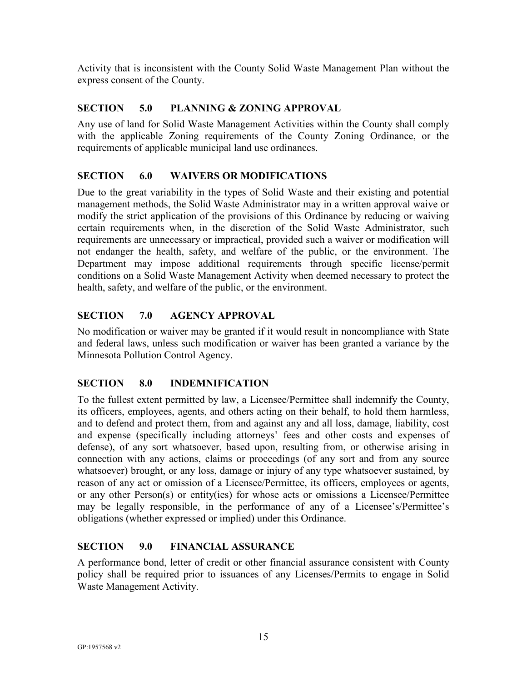Activity that is inconsistent with the County Solid Waste Management Plan without the express consent of the County.

# <span id="page-17-0"></span>**SECTION 5.0 PLANNING & ZONING APPROVAL**

Any use of land for Solid Waste Management Activities within the County shall comply with the applicable Zoning requirements of the County Zoning Ordinance, or the requirements of applicable municipal land use ordinances.

# <span id="page-17-1"></span>**SECTION 6.0 WAIVERS OR MODIFICATIONS**

Due to the great variability in the types of Solid Waste and their existing and potential management methods, the Solid Waste Administrator may in a written approval waive or modify the strict application of the provisions of this Ordinance by reducing or waiving certain requirements when, in the discretion of the Solid Waste Administrator, such requirements are unnecessary or impractical, provided such a waiver or modification will not endanger the health, safety, and welfare of the public, or the environment. The Department may impose additional requirements through specific license/permit conditions on a Solid Waste Management Activity when deemed necessary to protect the health, safety, and welfare of the public, or the environment.

# <span id="page-17-2"></span>**SECTION 7.0 AGENCY APPROVAL**

No modification or waiver may be granted if it would result in noncompliance with State and federal laws, unless such modification or waiver has been granted a variance by the Minnesota Pollution Control Agency.

# <span id="page-17-3"></span>**SECTION 8.0 INDEMNIFICATION**

To the fullest extent permitted by law, a Licensee/Permittee shall indemnify the County, its officers, employees, agents, and others acting on their behalf, to hold them harmless, and to defend and protect them, from and against any and all loss, damage, liability, cost and expense (specifically including attorneys' fees and other costs and expenses of defense), of any sort whatsoever, based upon, resulting from, or otherwise arising in connection with any actions, claims or proceedings (of any sort and from any source whatsoever) brought, or any loss, damage or injury of any type whatsoever sustained, by reason of any act or omission of a Licensee/Permittee, its officers, employees or agents, or any other Person(s) or entity(ies) for whose acts or omissions a Licensee/Permittee may be legally responsible, in the performance of any of a Licensee's/Permittee's obligations (whether expressed or implied) under this Ordinance.

# <span id="page-17-4"></span>**SECTION 9.0 FINANCIAL ASSURANCE**

A performance bond, letter of credit or other financial assurance consistent with County policy shall be required prior to issuances of any Licenses/Permits to engage in Solid Waste Management Activity.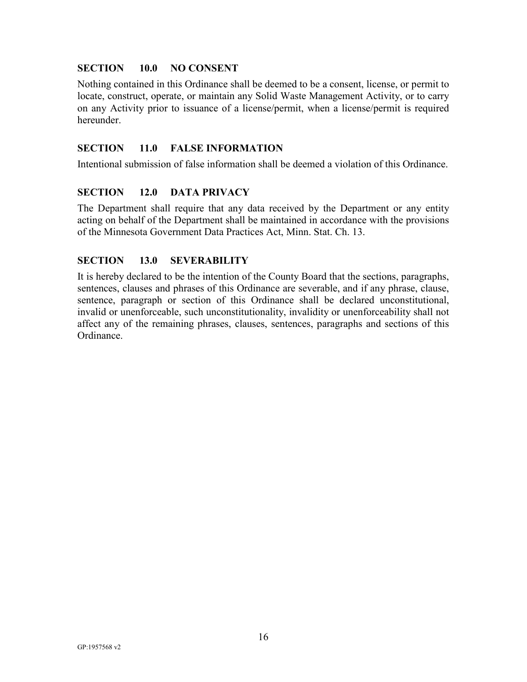# <span id="page-18-0"></span>**SECTION 10.0 NO CONSENT**

Nothing contained in this Ordinance shall be deemed to be a consent, license, or permit to locate, construct, operate, or maintain any Solid Waste Management Activity, or to carry on any Activity prior to issuance of a license/permit, when a license/permit is required hereunder.

## <span id="page-18-1"></span>**SECTION 11.0 FALSE INFORMATION**

Intentional submission of false information shall be deemed a violation of this Ordinance.

# <span id="page-18-2"></span>**SECTION 12.0 DATA PRIVACY**

The Department shall require that any data received by the Department or any entity acting on behalf of the Department shall be maintained in accordance with the provisions of the Minnesota Government Data Practices Act, Minn. Stat. Ch. 13.

# <span id="page-18-3"></span>**SECTION 13.0 SEVERABILITY**

It is hereby declared to be the intention of the County Board that the sections, paragraphs, sentences, clauses and phrases of this Ordinance are severable, and if any phrase, clause, sentence, paragraph or section of this Ordinance shall be declared unconstitutional, invalid or unenforceable, such unconstitutionality, invalidity or unenforceability shall not affect any of the remaining phrases, clauses, sentences, paragraphs and sections of this Ordinance.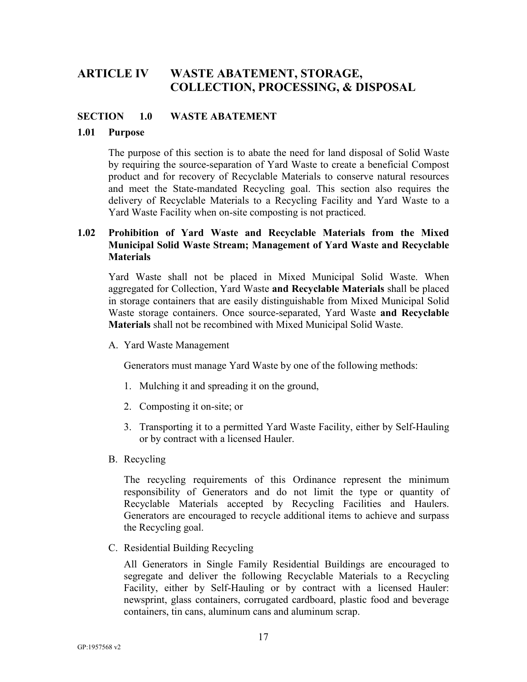# <span id="page-19-0"></span>**ARTICLE IV WASTE ABATEMENT, STORAGE, COLLECTION, PROCESSING, & DISPOSAL**

#### <span id="page-19-1"></span>**SECTION 1.0 WASTE ABATEMENT**

#### **1.01 Purpose**

The purpose of this section is to abate the need for land disposal of Solid Waste by requiring the source-separation of Yard Waste to create a beneficial Compost product and for recovery of Recyclable Materials to conserve natural resources and meet the State-mandated Recycling goal. This section also requires the delivery of Recyclable Materials to a Recycling Facility and Yard Waste to a Yard Waste Facility when on-site composting is not practiced.

# **1.02 Prohibition of Yard Waste and Recyclable Materials from the Mixed Municipal Solid Waste Stream; Management of Yard Waste and Recyclable Materials**

Yard Waste shall not be placed in Mixed Municipal Solid Waste. When aggregated for Collection, Yard Waste **and Recyclable Materials** shall be placed in storage containers that are easily distinguishable from Mixed Municipal Solid Waste storage containers. Once source-separated, Yard Waste **and Recyclable Materials** shall not be recombined with Mixed Municipal Solid Waste.

A. Yard Waste Management

Generators must manage Yard Waste by one of the following methods:

- 1. Mulching it and spreading it on the ground,
- 2. Composting it on-site; or
- 3. Transporting it to a permitted Yard Waste Facility, either by Self-Hauling or by contract with a licensed Hauler.
- B. Recycling

The recycling requirements of this Ordinance represent the minimum responsibility of Generators and do not limit the type or quantity of Recyclable Materials accepted by Recycling Facilities and Haulers. Generators are encouraged to recycle additional items to achieve and surpass the Recycling goal.

C. Residential Building Recycling

All Generators in Single Family Residential Buildings are encouraged to segregate and deliver the following Recyclable Materials to a Recycling Facility, either by Self-Hauling or by contract with a licensed Hauler: newsprint, glass containers, corrugated cardboard, plastic food and beverage containers, tin cans, aluminum cans and aluminum scrap.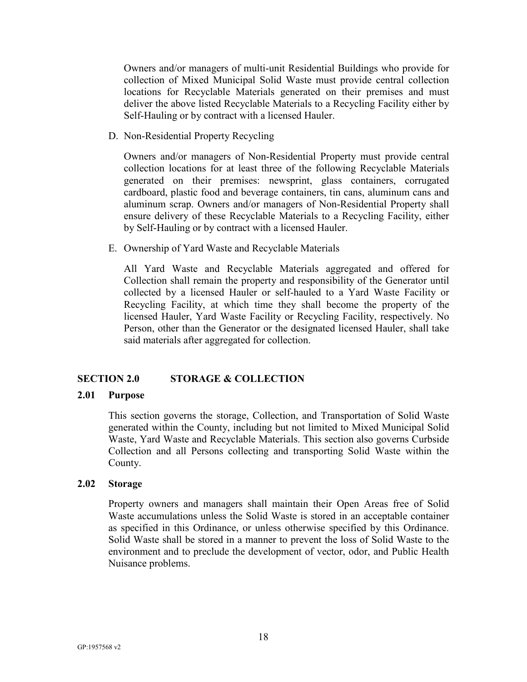Owners and/or managers of multi-unit Residential Buildings who provide for collection of Mixed Municipal Solid Waste must provide central collection locations for Recyclable Materials generated on their premises and must deliver the above listed Recyclable Materials to a Recycling Facility either by Self-Hauling or by contract with a licensed Hauler.

D. Non-Residential Property Recycling

Owners and/or managers of Non-Residential Property must provide central collection locations for at least three of the following Recyclable Materials generated on their premises: newsprint, glass containers, corrugated cardboard, plastic food and beverage containers, tin cans, aluminum cans and aluminum scrap. Owners and/or managers of Non-Residential Property shall ensure delivery of these Recyclable Materials to a Recycling Facility, either by Self-Hauling or by contract with a licensed Hauler.

E. Ownership of Yard Waste and Recyclable Materials

All Yard Waste and Recyclable Materials aggregated and offered for Collection shall remain the property and responsibility of the Generator until collected by a licensed Hauler or self-hauled to a Yard Waste Facility or Recycling Facility, at which time they shall become the property of the licensed Hauler, Yard Waste Facility or Recycling Facility, respectively. No Person, other than the Generator or the designated licensed Hauler, shall take said materials after aggregated for collection.

#### <span id="page-20-0"></span>**SECTION 2.0 STORAGE & COLLECTION**

#### **2.01 Purpose**

This section governs the storage, Collection, and Transportation of Solid Waste generated within the County, including but not limited to Mixed Municipal Solid Waste, Yard Waste and Recyclable Materials. This section also governs Curbside Collection and all Persons collecting and transporting Solid Waste within the County.

#### **2.02 Storage**

Property owners and managers shall maintain their Open Areas free of Solid Waste accumulations unless the Solid Waste is stored in an acceptable container as specified in this Ordinance, or unless otherwise specified by this Ordinance. Solid Waste shall be stored in a manner to prevent the loss of Solid Waste to the environment and to preclude the development of vector, odor, and Public Health Nuisance problems.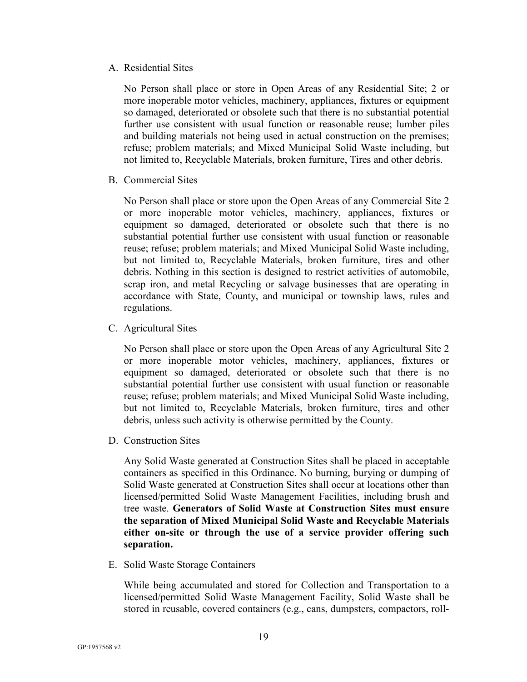A. Residential Sites

No Person shall place or store in Open Areas of any Residential Site; 2 or more inoperable motor vehicles, machinery, appliances, fixtures or equipment so damaged, deteriorated or obsolete such that there is no substantial potential further use consistent with usual function or reasonable reuse; lumber piles and building materials not being used in actual construction on the premises; refuse; problem materials; and Mixed Municipal Solid Waste including, but not limited to, Recyclable Materials, broken furniture, Tires and other debris.

B. Commercial Sites

No Person shall place or store upon the Open Areas of any Commercial Site 2 or more inoperable motor vehicles, machinery, appliances, fixtures or equipment so damaged, deteriorated or obsolete such that there is no substantial potential further use consistent with usual function or reasonable reuse; refuse; problem materials; and Mixed Municipal Solid Waste including, but not limited to, Recyclable Materials, broken furniture, tires and other debris. Nothing in this section is designed to restrict activities of automobile, scrap iron, and metal Recycling or salvage businesses that are operating in accordance with State, County, and municipal or township laws, rules and regulations.

C. Agricultural Sites

No Person shall place or store upon the Open Areas of any Agricultural Site 2 or more inoperable motor vehicles, machinery, appliances, fixtures or equipment so damaged, deteriorated or obsolete such that there is no substantial potential further use consistent with usual function or reasonable reuse; refuse; problem materials; and Mixed Municipal Solid Waste including, but not limited to, Recyclable Materials, broken furniture, tires and other debris, unless such activity is otherwise permitted by the County.

D. Construction Sites

Any Solid Waste generated at Construction Sites shall be placed in acceptable containers as specified in this Ordinance. No burning, burying or dumping of Solid Waste generated at Construction Sites shall occur at locations other than licensed/permitted Solid Waste Management Facilities, including brush and tree waste. **Generators of Solid Waste at Construction Sites must ensure the separation of Mixed Municipal Solid Waste and Recyclable Materials either on-site or through the use of a service provider offering such separation.**

E. Solid Waste Storage Containers

While being accumulated and stored for Collection and Transportation to a licensed/permitted Solid Waste Management Facility, Solid Waste shall be stored in reusable, covered containers (e.g., cans, dumpsters, compactors, roll-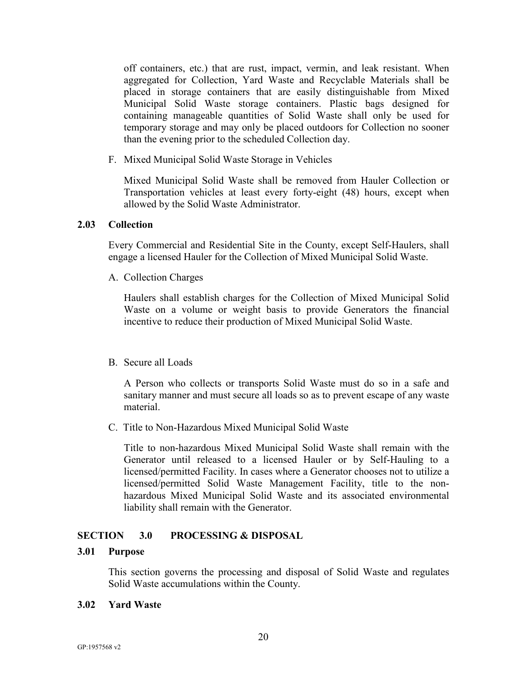off containers, etc.) that are rust, impact, vermin, and leak resistant. When aggregated for Collection, Yard Waste and Recyclable Materials shall be placed in storage containers that are easily distinguishable from Mixed Municipal Solid Waste storage containers. Plastic bags designed for containing manageable quantities of Solid Waste shall only be used for temporary storage and may only be placed outdoors for Collection no sooner than the evening prior to the scheduled Collection day.

F. Mixed Municipal Solid Waste Storage in Vehicles

Mixed Municipal Solid Waste shall be removed from Hauler Collection or Transportation vehicles at least every forty-eight (48) hours, except when allowed by the Solid Waste Administrator.

#### **2.03 Collection**

Every Commercial and Residential Site in the County, except Self-Haulers, shall engage a licensed Hauler for the Collection of Mixed Municipal Solid Waste.

A. Collection Charges

Haulers shall establish charges for the Collection of Mixed Municipal Solid Waste on a volume or weight basis to provide Generators the financial incentive to reduce their production of Mixed Municipal Solid Waste.

#### B. Secure all Loads

A Person who collects or transports Solid Waste must do so in a safe and sanitary manner and must secure all loads so as to prevent escape of any waste material.

C. Title to Non-Hazardous Mixed Municipal Solid Waste

Title to non-hazardous Mixed Municipal Solid Waste shall remain with the Generator until released to a licensed Hauler or by Self-Hauling to a licensed/permitted Facility. In cases where a Generator chooses not to utilize a licensed/permitted Solid Waste Management Facility, title to the nonhazardous Mixed Municipal Solid Waste and its associated environmental liability shall remain with the Generator.

#### <span id="page-22-0"></span>**SECTION 3.0 PROCESSING & DISPOSAL**

#### **3.01 Purpose**

This section governs the processing and disposal of Solid Waste and regulates Solid Waste accumulations within the County.

#### **3.02 Yard Waste**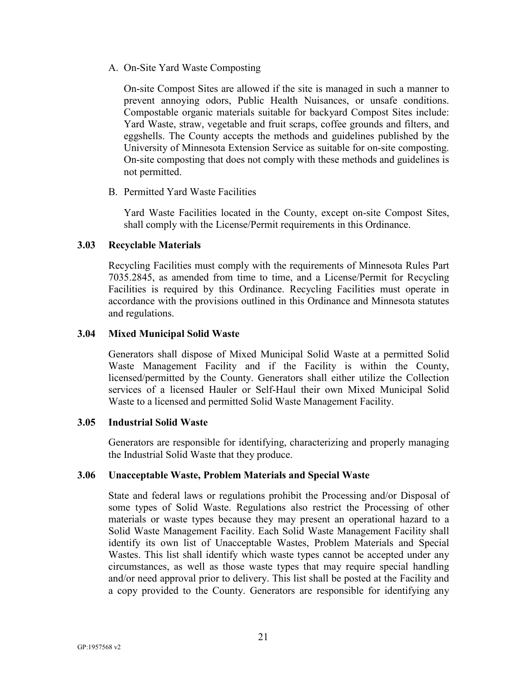A. On-Site Yard Waste Composting

On-site Compost Sites are allowed if the site is managed in such a manner to prevent annoying odors, Public Health Nuisances, or unsafe conditions. Compostable organic materials suitable for backyard Compost Sites include: Yard Waste, straw, vegetable and fruit scraps, coffee grounds and filters, and eggshells. The County accepts the methods and guidelines published by the University of Minnesota Extension Service as suitable for on-site composting. On-site composting that does not comply with these methods and guidelines is not permitted.

B. Permitted Yard Waste Facilities

Yard Waste Facilities located in the County, except on-site Compost Sites, shall comply with the License/Permit requirements in this Ordinance.

#### **3.03 Recyclable Materials**

Recycling Facilities must comply with the requirements of Minnesota Rules Part 7035.2845, as amended from time to time, and a License/Permit for Recycling Facilities is required by this Ordinance. Recycling Facilities must operate in accordance with the provisions outlined in this Ordinance and Minnesota statutes and regulations.

#### **3.04 Mixed Municipal Solid Waste**

Generators shall dispose of Mixed Municipal Solid Waste at a permitted Solid Waste Management Facility and if the Facility is within the County, licensed/permitted by the County. Generators shall either utilize the Collection services of a licensed Hauler or Self-Haul their own Mixed Municipal Solid Waste to a licensed and permitted Solid Waste Management Facility.

#### **3.05 Industrial Solid Waste**

Generators are responsible for identifying, characterizing and properly managing the Industrial Solid Waste that they produce.

#### **3.06 Unacceptable Waste, Problem Materials and Special Waste**

State and federal laws or regulations prohibit the Processing and/or Disposal of some types of Solid Waste. Regulations also restrict the Processing of other materials or waste types because they may present an operational hazard to a Solid Waste Management Facility. Each Solid Waste Management Facility shall identify its own list of Unacceptable Wastes, Problem Materials and Special Wastes. This list shall identify which waste types cannot be accepted under any circumstances, as well as those waste types that may require special handling and/or need approval prior to delivery. This list shall be posted at the Facility and a copy provided to the County. Generators are responsible for identifying any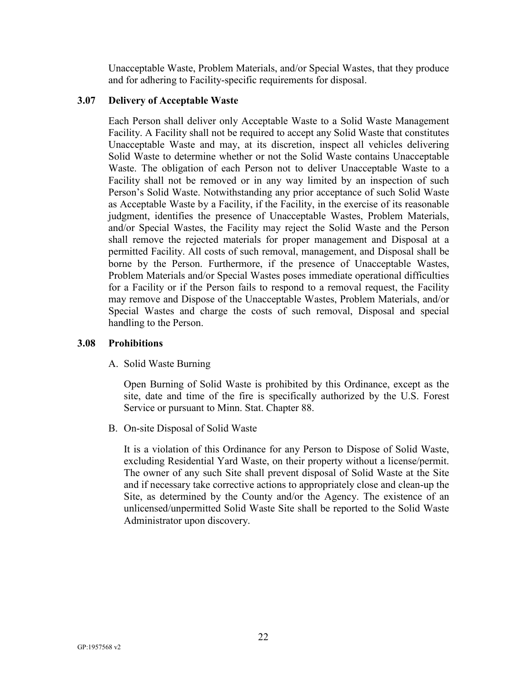Unacceptable Waste, Problem Materials, and/or Special Wastes, that they produce and for adhering to Facility-specific requirements for disposal.

## **3.07 Delivery of Acceptable Waste**

Each Person shall deliver only Acceptable Waste to a Solid Waste Management Facility. A Facility shall not be required to accept any Solid Waste that constitutes Unacceptable Waste and may, at its discretion, inspect all vehicles delivering Solid Waste to determine whether or not the Solid Waste contains Unacceptable Waste. The obligation of each Person not to deliver Unacceptable Waste to a Facility shall not be removed or in any way limited by an inspection of such Person's Solid Waste. Notwithstanding any prior acceptance of such Solid Waste as Acceptable Waste by a Facility, if the Facility, in the exercise of its reasonable judgment, identifies the presence of Unacceptable Wastes, Problem Materials, and/or Special Wastes, the Facility may reject the Solid Waste and the Person shall remove the rejected materials for proper management and Disposal at a permitted Facility. All costs of such removal, management, and Disposal shall be borne by the Person. Furthermore, if the presence of Unacceptable Wastes, Problem Materials and/or Special Wastes poses immediate operational difficulties for a Facility or if the Person fails to respond to a removal request, the Facility may remove and Dispose of the Unacceptable Wastes, Problem Materials, and/or Special Wastes and charge the costs of such removal, Disposal and special handling to the Person.

#### **3.08 Prohibitions**

A. Solid Waste Burning

Open Burning of Solid Waste is prohibited by this Ordinance, except as the site, date and time of the fire is specifically authorized by the U.S. Forest Service or pursuant to Minn. Stat. Chapter 88.

B. On-site Disposal of Solid Waste

It is a violation of this Ordinance for any Person to Dispose of Solid Waste, excluding Residential Yard Waste, on their property without a license/permit. The owner of any such Site shall prevent disposal of Solid Waste at the Site and if necessary take corrective actions to appropriately close and clean-up the Site, as determined by the County and/or the Agency. The existence of an unlicensed/unpermitted Solid Waste Site shall be reported to the Solid Waste Administrator upon discovery.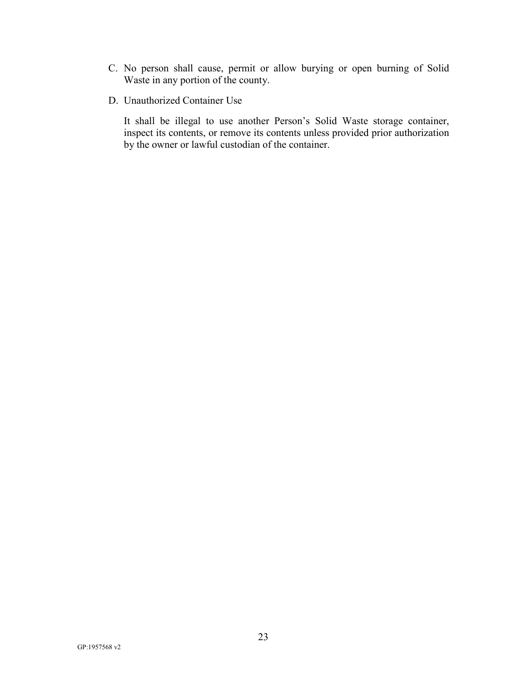- C. No person shall cause, permit or allow burying or open burning of Solid Waste in any portion of the county.
- D. Unauthorized Container Use

It shall be illegal to use another Person's Solid Waste storage container, inspect its contents, or remove its contents unless provided prior authorization by the owner or lawful custodian of the container.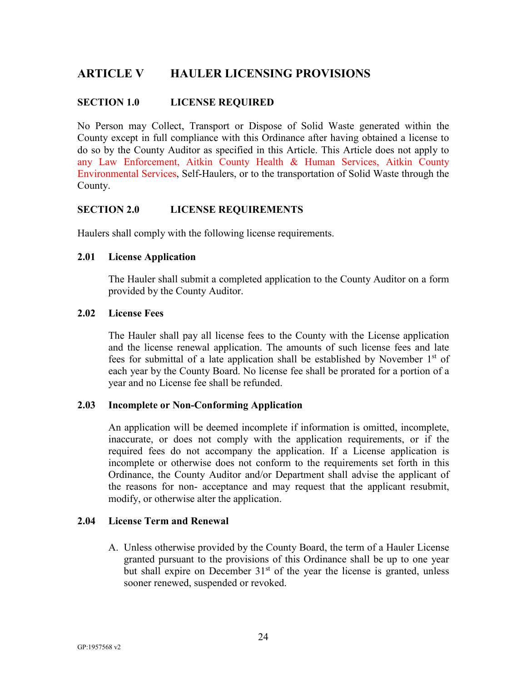# <span id="page-26-0"></span>**ARTICLE V HAULER LICENSING PROVISIONS**

## <span id="page-26-1"></span>**SECTION 1.0 LICENSE REQUIRED**

No Person may Collect, Transport or Dispose of Solid Waste generated within the County except in full compliance with this Ordinance after having obtained a license to do so by the County Auditor as specified in this Article. This Article does not apply to any Law Enforcement, Aitkin County Health & Human Services, Aitkin County Environmental Services, Self-Haulers, or to the transportation of Solid Waste through the County.

#### <span id="page-26-2"></span>**SECTION 2.0 LICENSE REQUIREMENTS**

Haulers shall comply with the following license requirements.

#### **2.01 License Application**

The Hauler shall submit a completed application to the County Auditor on a form provided by the County Auditor.

#### **2.02 License Fees**

The Hauler shall pay all license fees to the County with the License application and the license renewal application. The amounts of such license fees and late fees for submittal of a late application shall be established by November  $1<sup>st</sup>$  of each year by the County Board. No license fee shall be prorated for a portion of a year and no License fee shall be refunded.

#### **2.03 Incomplete or Non-Conforming Application**

An application will be deemed incomplete if information is omitted, incomplete, inaccurate, or does not comply with the application requirements, or if the required fees do not accompany the application. If a License application is incomplete or otherwise does not conform to the requirements set forth in this Ordinance, the County Auditor and/or Department shall advise the applicant of the reasons for non- acceptance and may request that the applicant resubmit, modify, or otherwise alter the application.

### **2.04 License Term and Renewal**

A. Unless otherwise provided by the County Board, the term of a Hauler License granted pursuant to the provisions of this Ordinance shall be up to one year but shall expire on December  $31<sup>st</sup>$  of the year the license is granted, unless sooner renewed, suspended or revoked.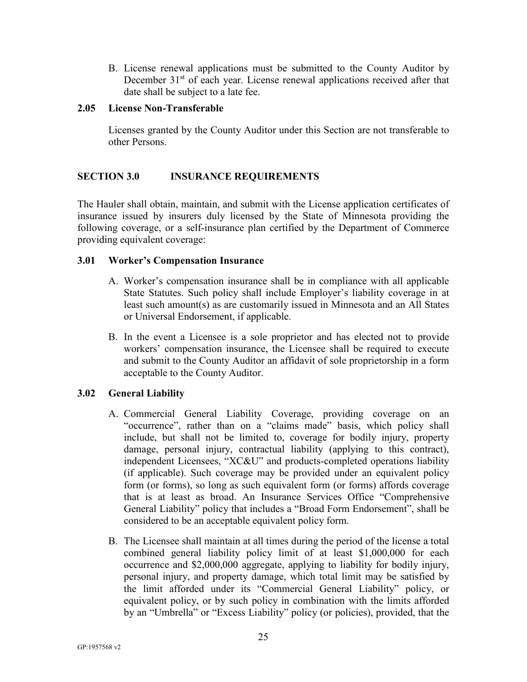B. License renewal applications must be submitted to the County Auditor by December 31<sup>st</sup> of each year. License renewal applications received after that date shall be subject to a late fee.

#### **2.05 License Non-Transferable**

Licenses granted by the County Auditor under this Section are not transferable to other Persons.

# <span id="page-27-0"></span>**SECTION 3.0 INSURANCE REQUIREMENTS**

The Hauler shall obtain, maintain, and submit with the License application certificates of insurance issued by insurers duly licensed by the State of Minnesota providing the following coverage, or a self-insurance plan certified by the Department of Commerce providing equivalent coverage:

#### **3.01 Worker's Compensation Insurance**

- A. Worker's compensation insurance shall be in compliance with all applicable State Statutes. Such policy shall include Employer's liability coverage in at least such amount(s) as are customarily issued in Minnesota and an All States or Universal Endorsement, if applicable.
- B. In the event a Licensee is a sole proprietor and has elected not to provide workers' compensation insurance, the Licensee shall be required to execute and submit to the County Auditor an affidavit of sole proprietorship in a form acceptable to the County Auditor.

#### **3.02 General Liability**

- A. Commercial General Liability Coverage, providing coverage on an "occurrence", rather than on a "claims made" basis, which policy shall include, but shall not be limited to, coverage for bodily injury, property damage, personal injury, contractual liability (applying to this contract), independent Licensees, "XC&U" and products-completed operations liability (if applicable). Such coverage may be provided under an equivalent policy form (or forms), so long as such equivalent form (or forms) affords coverage that is at least as broad. An Insurance Services Office "Comprehensive General Liability" policy that includes a "Broad Form Endorsement", shall be considered to be an acceptable equivalent policy form.
- B. The Licensee shall maintain at all times during the period of the license a total combined general liability policy limit of at least \$1,000,000 for each occurrence and \$2,000,000 aggregate, applying to liability for bodily injury, personal injury, and property damage, which total limit may be satisfied by the limit afforded under its "Commercial General Liability" policy, or equivalent policy, or by such policy in combination with the limits afforded by an "Umbrella" or "Excess Liability" policy (or policies), provided, that the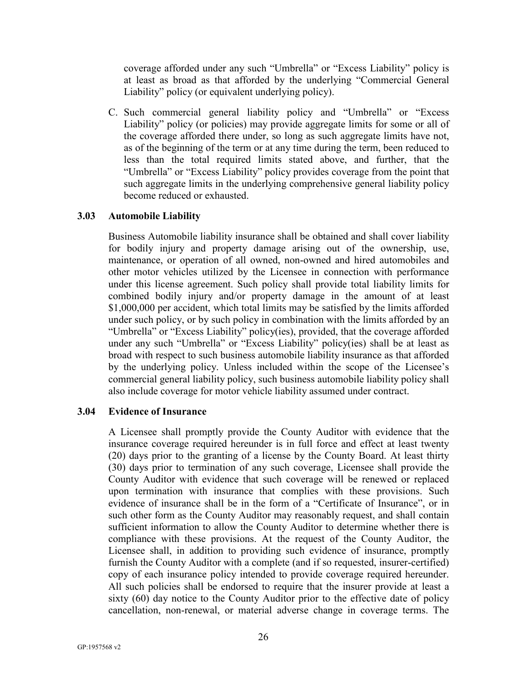coverage afforded under any such "Umbrella" or "Excess Liability" policy is at least as broad as that afforded by the underlying "Commercial General Liability" policy (or equivalent underlying policy).

C. Such commercial general liability policy and "Umbrella" or "Excess Liability" policy (or policies) may provide aggregate limits for some or all of the coverage afforded there under, so long as such aggregate limits have not, as of the beginning of the term or at any time during the term, been reduced to less than the total required limits stated above, and further, that the "Umbrella" or "Excess Liability" policy provides coverage from the point that such aggregate limits in the underlying comprehensive general liability policy become reduced or exhausted.

#### **3.03 Automobile Liability**

Business Automobile liability insurance shall be obtained and shall cover liability for bodily injury and property damage arising out of the ownership, use, maintenance, or operation of all owned, non-owned and hired automobiles and other motor vehicles utilized by the Licensee in connection with performance under this license agreement. Such policy shall provide total liability limits for combined bodily injury and/or property damage in the amount of at least \$1,000,000 per accident, which total limits may be satisfied by the limits afforded under such policy, or by such policy in combination with the limits afforded by an "Umbrella" or "Excess Liability" policy(ies), provided, that the coverage afforded under any such "Umbrella" or "Excess Liability" policy(ies) shall be at least as broad with respect to such business automobile liability insurance as that afforded by the underlying policy. Unless included within the scope of the Licensee's commercial general liability policy, such business automobile liability policy shall also include coverage for motor vehicle liability assumed under contract.

#### **3.04 Evidence of Insurance**

A Licensee shall promptly provide the County Auditor with evidence that the insurance coverage required hereunder is in full force and effect at least twenty (20) days prior to the granting of a license by the County Board. At least thirty (30) days prior to termination of any such coverage, Licensee shall provide the County Auditor with evidence that such coverage will be renewed or replaced upon termination with insurance that complies with these provisions. Such evidence of insurance shall be in the form of a "Certificate of Insurance", or in such other form as the County Auditor may reasonably request, and shall contain sufficient information to allow the County Auditor to determine whether there is compliance with these provisions. At the request of the County Auditor, the Licensee shall, in addition to providing such evidence of insurance, promptly furnish the County Auditor with a complete (and if so requested, insurer-certified) copy of each insurance policy intended to provide coverage required hereunder. All such policies shall be endorsed to require that the insurer provide at least a sixty (60) day notice to the County Auditor prior to the effective date of policy cancellation, non-renewal, or material adverse change in coverage terms. The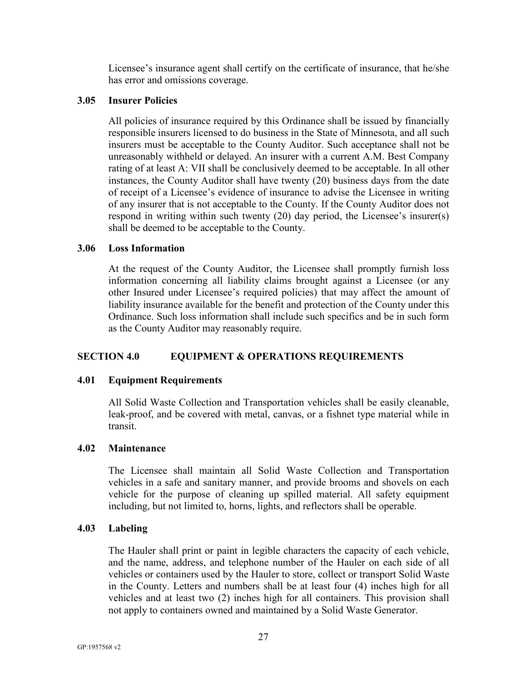Licensee's insurance agent shall certify on the certificate of insurance, that he/she has error and omissions coverage.

#### **3.05 Insurer Policies**

All policies of insurance required by this Ordinance shall be issued by financially responsible insurers licensed to do business in the State of Minnesota, and all such insurers must be acceptable to the County Auditor. Such acceptance shall not be unreasonably withheld or delayed. An insurer with a current A.M. Best Company rating of at least A: VII shall be conclusively deemed to be acceptable. In all other instances, the County Auditor shall have twenty (20) business days from the date of receipt of a Licensee's evidence of insurance to advise the Licensee in writing of any insurer that is not acceptable to the County. If the County Auditor does not respond in writing within such twenty (20) day period, the Licensee's insurer(s) shall be deemed to be acceptable to the County.

# **3.06 Loss Information**

At the request of the County Auditor, the Licensee shall promptly furnish loss information concerning all liability claims brought against a Licensee (or any other Insured under Licensee's required policies) that may affect the amount of liability insurance available for the benefit and protection of the County under this Ordinance. Such loss information shall include such specifics and be in such form as the County Auditor may reasonably require.

# <span id="page-29-0"></span>**SECTION 4.0 EQUIPMENT & OPERATIONS REQUIREMENTS**

# **4.01 Equipment Requirements**

All Solid Waste Collection and Transportation vehicles shall be easily cleanable, leak-proof, and be covered with metal, canvas, or a fishnet type material while in transit.

#### **4.02 Maintenance**

The Licensee shall maintain all Solid Waste Collection and Transportation vehicles in a safe and sanitary manner, and provide brooms and shovels on each vehicle for the purpose of cleaning up spilled material. All safety equipment including, but not limited to, horns, lights, and reflectors shall be operable.

#### **4.03 Labeling**

The Hauler shall print or paint in legible characters the capacity of each vehicle, and the name, address, and telephone number of the Hauler on each side of all vehicles or containers used by the Hauler to store, collect or transport Solid Waste in the County. Letters and numbers shall be at least four (4) inches high for all vehicles and at least two (2) inches high for all containers. This provision shall not apply to containers owned and maintained by a Solid Waste Generator.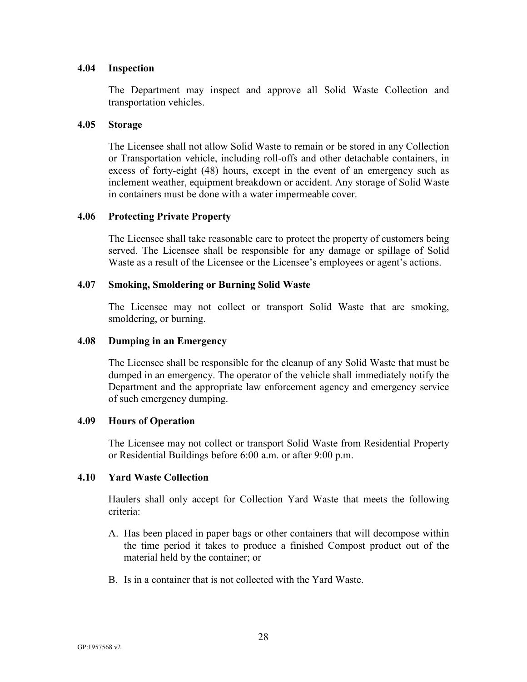#### **4.04 Inspection**

The Department may inspect and approve all Solid Waste Collection and transportation vehicles.

#### **4.05 Storage**

The Licensee shall not allow Solid Waste to remain or be stored in any Collection or Transportation vehicle, including roll-offs and other detachable containers, in excess of forty-eight (48) hours, except in the event of an emergency such as inclement weather, equipment breakdown or accident. Any storage of Solid Waste in containers must be done with a water impermeable cover.

#### **4.06 Protecting Private Property**

The Licensee shall take reasonable care to protect the property of customers being served. The Licensee shall be responsible for any damage or spillage of Solid Waste as a result of the Licensee or the Licensee's employees or agent's actions.

#### **4.07 Smoking, Smoldering or Burning Solid Waste**

The Licensee may not collect or transport Solid Waste that are smoking, smoldering, or burning.

#### **4.08 Dumping in an Emergency**

The Licensee shall be responsible for the cleanup of any Solid Waste that must be dumped in an emergency. The operator of the vehicle shall immediately notify the Department and the appropriate law enforcement agency and emergency service of such emergency dumping.

#### **4.09 Hours of Operation**

The Licensee may not collect or transport Solid Waste from Residential Property or Residential Buildings before 6:00 a.m. or after 9:00 p.m.

#### **4.10 Yard Waste Collection**

Haulers shall only accept for Collection Yard Waste that meets the following criteria:

- A. Has been placed in paper bags or other containers that will decompose within the time period it takes to produce a finished Compost product out of the material held by the container; or
- B. Is in a container that is not collected with the Yard Waste.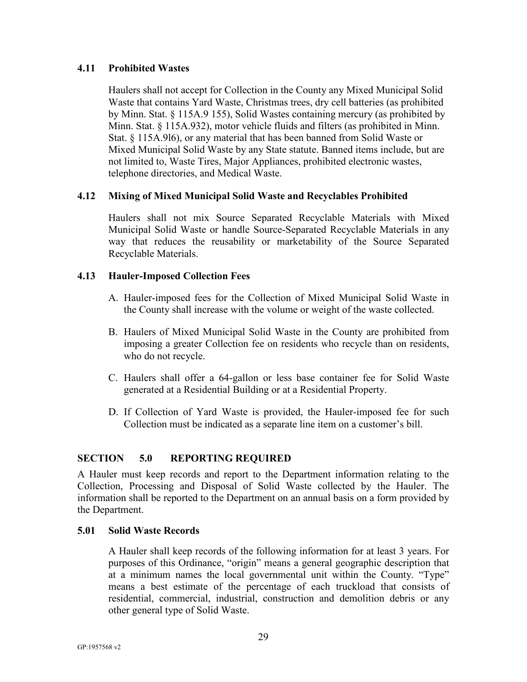# **4.11 Prohibited Wastes**

Haulers shall not accept for Collection in the County any Mixed Municipal Solid Waste that contains Yard Waste, Christmas trees, dry cell batteries (as prohibited by Minn. Stat. § 115A.9 155), Solid Wastes containing mercury (as prohibited by Minn. Stat. § 115A.932), motor vehicle fluids and filters (as prohibited in Minn. Stat. § 115A.9l6), or any material that has been banned from Solid Waste or Mixed Municipal Solid Waste by any State statute. Banned items include, but are not limited to, Waste Tires, Major Appliances, prohibited electronic wastes, telephone directories, and Medical Waste.

# **4.12 Mixing of Mixed Municipal Solid Waste and Recyclables Prohibited**

Haulers shall not mix Source Separated Recyclable Materials with Mixed Municipal Solid Waste or handle Source-Separated Recyclable Materials in any way that reduces the reusability or marketability of the Source Separated Recyclable Materials.

# **4.13 Hauler-Imposed Collection Fees**

- A. Hauler-imposed fees for the Collection of Mixed Municipal Solid Waste in the County shall increase with the volume or weight of the waste collected.
- B. Haulers of Mixed Municipal Solid Waste in the County are prohibited from imposing a greater Collection fee on residents who recycle than on residents, who do not recycle.
- C. Haulers shall offer a 64-gallon or less base container fee for Solid Waste generated at a Residential Building or at a Residential Property.
- D. If Collection of Yard Waste is provided, the Hauler-imposed fee for such Collection must be indicated as a separate line item on a customer's bill.

# <span id="page-31-0"></span>**SECTION 5.0 REPORTING REQUIRED**

A Hauler must keep records and report to the Department information relating to the Collection, Processing and Disposal of Solid Waste collected by the Hauler. The information shall be reported to the Department on an annual basis on a form provided by the Department.

#### **5.01 Solid Waste Records**

A Hauler shall keep records of the following information for at least 3 years. For purposes of this Ordinance, "origin" means a general geographic description that at a minimum names the local governmental unit within the County. "Type" means a best estimate of the percentage of each truckload that consists of residential, commercial, industrial, construction and demolition debris or any other general type of Solid Waste.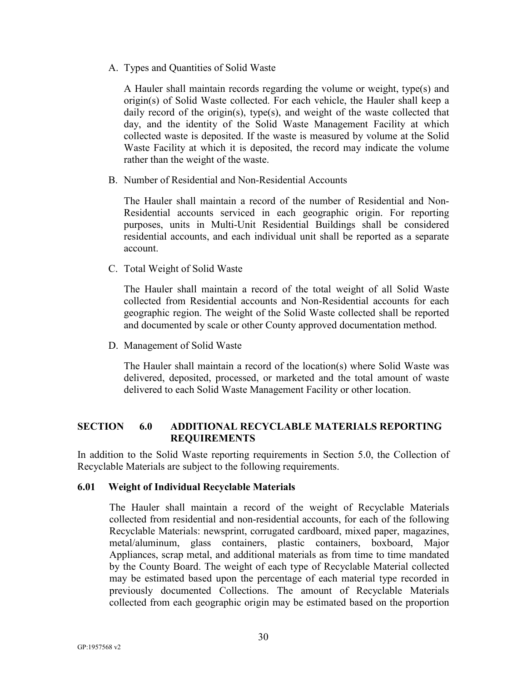A. Types and Quantities of Solid Waste

A Hauler shall maintain records regarding the volume or weight, type(s) and origin(s) of Solid Waste collected. For each vehicle, the Hauler shall keep a daily record of the origin(s), type(s), and weight of the waste collected that day, and the identity of the Solid Waste Management Facility at which collected waste is deposited. If the waste is measured by volume at the Solid Waste Facility at which it is deposited, the record may indicate the volume rather than the weight of the waste.

B. Number of Residential and Non-Residential Accounts

The Hauler shall maintain a record of the number of Residential and Non-Residential accounts serviced in each geographic origin. For reporting purposes, units in Multi-Unit Residential Buildings shall be considered residential accounts, and each individual unit shall be reported as a separate account.

C. Total Weight of Solid Waste

The Hauler shall maintain a record of the total weight of all Solid Waste collected from Residential accounts and Non-Residential accounts for each geographic region. The weight of the Solid Waste collected shall be reported and documented by scale or other County approved documentation method.

D. Management of Solid Waste

The Hauler shall maintain a record of the location(s) where Solid Waste was delivered, deposited, processed, or marketed and the total amount of waste delivered to each Solid Waste Management Facility or other location.

# <span id="page-32-0"></span>**SECTION 6.0 ADDITIONAL RECYCLABLE MATERIALS REPORTING REQUIREMENTS**

In addition to the Solid Waste reporting requirements in Section 5.0, the Collection of Recyclable Materials are subject to the following requirements.

#### **6.01 Weight of Individual Recyclable Materials**

The Hauler shall maintain a record of the weight of Recyclable Materials collected from residential and non-residential accounts, for each of the following Recyclable Materials: newsprint, corrugated cardboard, mixed paper, magazines, metal/aluminum, glass containers, plastic containers, boxboard, Major Appliances, scrap metal, and additional materials as from time to time mandated by the County Board. The weight of each type of Recyclable Material collected may be estimated based upon the percentage of each material type recorded in previously documented Collections. The amount of Recyclable Materials collected from each geographic origin may be estimated based on the proportion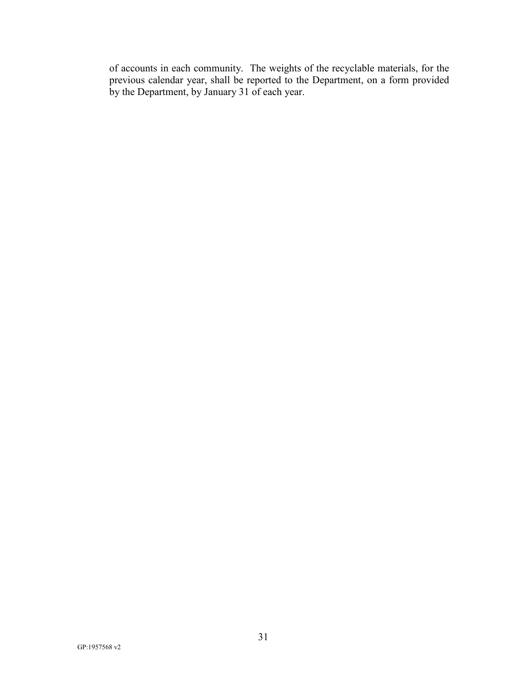of accounts in each community. The weights of the recyclable materials, for the previous calendar year, shall be reported to the Department, on a form provided by the Department, by January 31 of each year.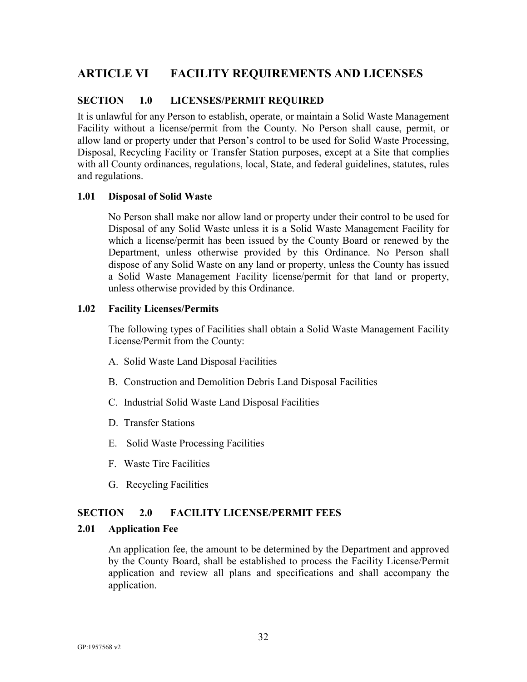# <span id="page-34-0"></span>**ARTICLE VI FACILITY REQUIREMENTS AND LICENSES**

## <span id="page-34-1"></span>**SECTION 1.0 LICENSES/PERMIT REQUIRED**

It is unlawful for any Person to establish, operate, or maintain a Solid Waste Management Facility without a license/permit from the County. No Person shall cause, permit, or allow land or property under that Person's control to be used for Solid Waste Processing, Disposal, Recycling Facility or Transfer Station purposes, except at a Site that complies with all County ordinances, regulations, local, State, and federal guidelines, statutes, rules and regulations.

#### **1.01 Disposal of Solid Waste**

No Person shall make nor allow land or property under their control to be used for Disposal of any Solid Waste unless it is a Solid Waste Management Facility for which a license/permit has been issued by the County Board or renewed by the Department, unless otherwise provided by this Ordinance. No Person shall dispose of any Solid Waste on any land or property, unless the County has issued a Solid Waste Management Facility license/permit for that land or property, unless otherwise provided by this Ordinance.

#### **1.02 Facility Licenses/Permits**

The following types of Facilities shall obtain a Solid Waste Management Facility License/Permit from the County:

- A. Solid Waste Land Disposal Facilities
- B. Construction and Demolition Debris Land Disposal Facilities
- C. Industrial Solid Waste Land Disposal Facilities
- D. Transfer Stations
- E. Solid Waste Processing Facilities
- F. Waste Tire Facilities
- G. Recycling Facilities

#### <span id="page-34-2"></span>**SECTION 2.0 FACILITY LICENSE/PERMIT FEES**

#### **2.01 Application Fee**

An application fee, the amount to be determined by the Department and approved by the County Board, shall be established to process the Facility License/Permit application and review all plans and specifications and shall accompany the application.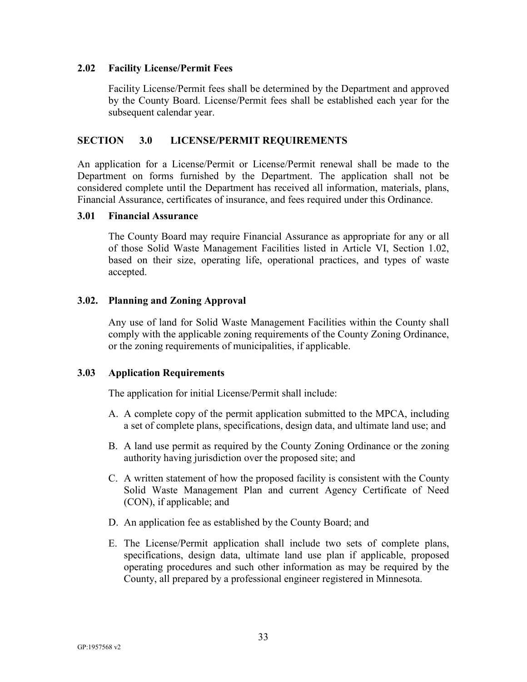#### **2.02 Facility License/Permit Fees**

Facility License/Permit fees shall be determined by the Department and approved by the County Board. License/Permit fees shall be established each year for the subsequent calendar year.

#### <span id="page-35-0"></span>**SECTION 3.0 LICENSE/PERMIT REQUIREMENTS**

An application for a License/Permit or License/Permit renewal shall be made to the Department on forms furnished by the Department. The application shall not be considered complete until the Department has received all information, materials, plans, Financial Assurance, certificates of insurance, and fees required under this Ordinance.

#### **3.01 Financial Assurance**

The County Board may require Financial Assurance as appropriate for any or all of those Solid Waste Management Facilities listed in Article VI, Section 1.02, based on their size, operating life, operational practices, and types of waste accepted.

#### **3.02. Planning and Zoning Approval**

Any use of land for Solid Waste Management Facilities within the County shall comply with the applicable zoning requirements of the County Zoning Ordinance, or the zoning requirements of municipalities, if applicable.

#### **3.03 Application Requirements**

The application for initial License/Permit shall include:

- A. A complete copy of the permit application submitted to the MPCA, including a set of complete plans, specifications, design data, and ultimate land use; and
- B. A land use permit as required by the County Zoning Ordinance or the zoning authority having jurisdiction over the proposed site; and
- C. A written statement of how the proposed facility is consistent with the County Solid Waste Management Plan and current Agency Certificate of Need (CON), if applicable; and
- D. An application fee as established by the County Board; and
- E. The License/Permit application shall include two sets of complete plans, specifications, design data, ultimate land use plan if applicable, proposed operating procedures and such other information as may be required by the County, all prepared by a professional engineer registered in Minnesota.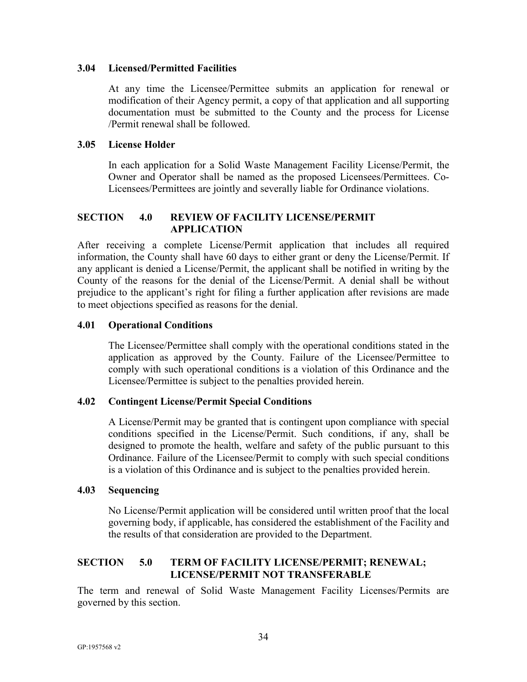#### **3.04 Licensed/Permitted Facilities**

At any time the Licensee/Permittee submits an application for renewal or modification of their Agency permit, a copy of that application and all supporting documentation must be submitted to the County and the process for License /Permit renewal shall be followed.

#### **3.05 License Holder**

In each application for a Solid Waste Management Facility License/Permit, the Owner and Operator shall be named as the proposed Licensees/Permittees. Co-Licensees/Permittees are jointly and severally liable for Ordinance violations.

# <span id="page-36-0"></span>**SECTION 4.0 REVIEW OF FACILITY LICENSE/PERMIT APPLICATION**

After receiving a complete License/Permit application that includes all required information, the County shall have 60 days to either grant or deny the License/Permit. If any applicant is denied a License/Permit, the applicant shall be notified in writing by the County of the reasons for the denial of the License/Permit. A denial shall be without prejudice to the applicant's right for filing a further application after revisions are made to meet objections specified as reasons for the denial.

#### **4.01 Operational Conditions**

The Licensee/Permittee shall comply with the operational conditions stated in the application as approved by the County. Failure of the Licensee/Permittee to comply with such operational conditions is a violation of this Ordinance and the Licensee/Permittee is subject to the penalties provided herein.

#### **4.02 Contingent License/Permit Special Conditions**

A License/Permit may be granted that is contingent upon compliance with special conditions specified in the License/Permit. Such conditions, if any, shall be designed to promote the health, welfare and safety of the public pursuant to this Ordinance. Failure of the Licensee/Permit to comply with such special conditions is a violation of this Ordinance and is subject to the penalties provided herein.

#### **4.03 Sequencing**

No License/Permit application will be considered until written proof that the local governing body, if applicable, has considered the establishment of the Facility and the results of that consideration are provided to the Department.

# <span id="page-36-1"></span>**SECTION 5.0 TERM OF FACILITY LICENSE/PERMIT; RENEWAL; LICENSE/PERMIT NOT TRANSFERABLE**

The term and renewal of Solid Waste Management Facility Licenses/Permits are governed by this section.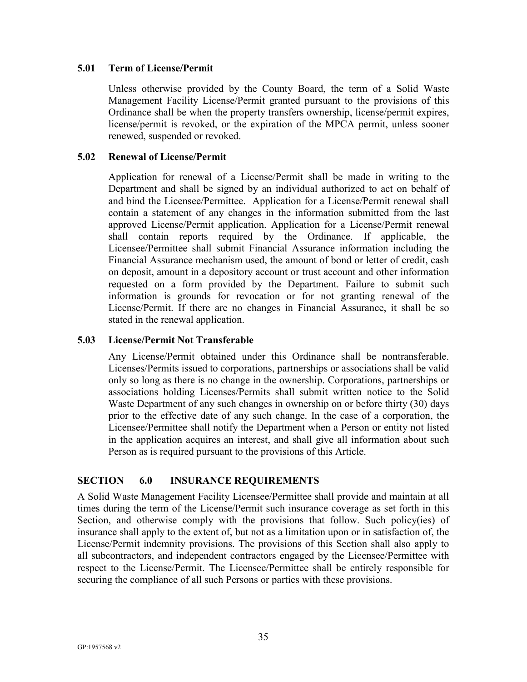#### **5.01 Term of License/Permit**

Unless otherwise provided by the County Board, the term of a Solid Waste Management Facility License/Permit granted pursuant to the provisions of this Ordinance shall be when the property transfers ownership, license/permit expires, license/permit is revoked, or the expiration of the MPCA permit, unless sooner renewed, suspended or revoked.

#### **5.02 Renewal of License/Permit**

Application for renewal of a License/Permit shall be made in writing to the Department and shall be signed by an individual authorized to act on behalf of and bind the Licensee/Permittee. Application for a License/Permit renewal shall contain a statement of any changes in the information submitted from the last approved License/Permit application. Application for a License/Permit renewal shall contain reports required by the Ordinance. If applicable, the Licensee/Permittee shall submit Financial Assurance information including the Financial Assurance mechanism used, the amount of bond or letter of credit, cash on deposit, amount in a depository account or trust account and other information requested on a form provided by the Department. Failure to submit such information is grounds for revocation or for not granting renewal of the License/Permit. If there are no changes in Financial Assurance, it shall be so stated in the renewal application.

#### **5.03 License/Permit Not Transferable**

Any License/Permit obtained under this Ordinance shall be nontransferable. Licenses/Permits issued to corporations, partnerships or associations shall be valid only so long as there is no change in the ownership. Corporations, partnerships or associations holding Licenses/Permits shall submit written notice to the Solid Waste Department of any such changes in ownership on or before thirty (30) days prior to the effective date of any such change. In the case of a corporation, the Licensee/Permittee shall notify the Department when a Person or entity not listed in the application acquires an interest, and shall give all information about such Person as is required pursuant to the provisions of this Article.

#### <span id="page-37-0"></span>**SECTION 6.0 INSURANCE REQUIREMENTS**

A Solid Waste Management Facility Licensee/Permittee shall provide and maintain at all times during the term of the License/Permit such insurance coverage as set forth in this Section, and otherwise comply with the provisions that follow. Such policy(ies) of insurance shall apply to the extent of, but not as a limitation upon or in satisfaction of, the License/Permit indemnity provisions. The provisions of this Section shall also apply to all subcontractors, and independent contractors engaged by the Licensee/Permittee with respect to the License/Permit. The Licensee/Permittee shall be entirely responsible for securing the compliance of all such Persons or parties with these provisions.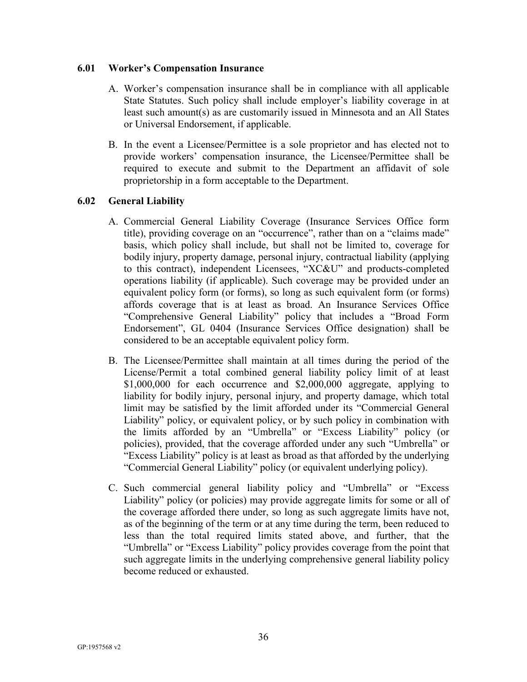#### **6.01 Worker's Compensation Insurance**

- A. Worker's compensation insurance shall be in compliance with all applicable State Statutes. Such policy shall include employer's liability coverage in at least such amount(s) as are customarily issued in Minnesota and an All States or Universal Endorsement, if applicable.
- B. In the event a Licensee/Permittee is a sole proprietor and has elected not to provide workers' compensation insurance, the Licensee/Permittee shall be required to execute and submit to the Department an affidavit of sole proprietorship in a form acceptable to the Department.

# **6.02 General Liability**

- A. Commercial General Liability Coverage (Insurance Services Office form title), providing coverage on an "occurrence", rather than on a "claims made" basis, which policy shall include, but shall not be limited to, coverage for bodily injury, property damage, personal injury, contractual liability (applying to this contract), independent Licensees, "XC&U" and products-completed operations liability (if applicable). Such coverage may be provided under an equivalent policy form (or forms), so long as such equivalent form (or forms) affords coverage that is at least as broad. An Insurance Services Office "Comprehensive General Liability" policy that includes a "Broad Form Endorsement", GL 0404 (Insurance Services Office designation) shall be considered to be an acceptable equivalent policy form.
- B. The Licensee/Permittee shall maintain at all times during the period of the License/Permit a total combined general liability policy limit of at least \$1,000,000 for each occurrence and \$2,000,000 aggregate, applying to liability for bodily injury, personal injury, and property damage, which total limit may be satisfied by the limit afforded under its "Commercial General Liability" policy, or equivalent policy, or by such policy in combination with the limits afforded by an "Umbrella" or "Excess Liability" policy (or policies), provided, that the coverage afforded under any such "Umbrella" or "Excess Liability" policy is at least as broad as that afforded by the underlying "Commercial General Liability" policy (or equivalent underlying policy).
- C. Such commercial general liability policy and "Umbrella" or "Excess Liability" policy (or policies) may provide aggregate limits for some or all of the coverage afforded there under, so long as such aggregate limits have not, as of the beginning of the term or at any time during the term, been reduced to less than the total required limits stated above, and further, that the "Umbrella" or "Excess Liability" policy provides coverage from the point that such aggregate limits in the underlying comprehensive general liability policy become reduced or exhausted.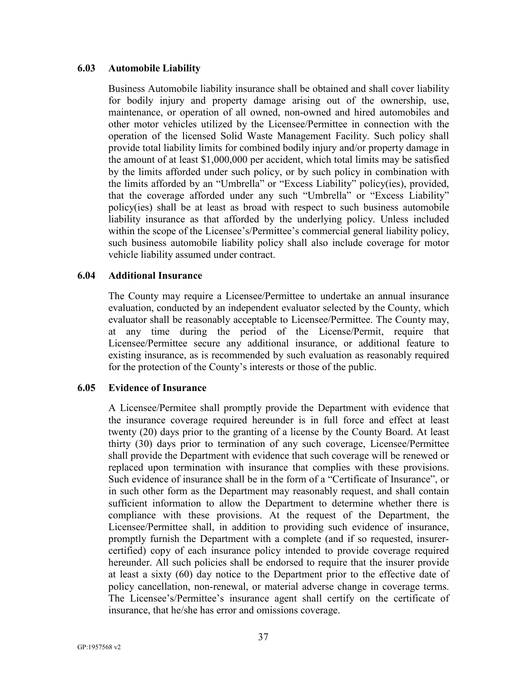#### **6.03 Automobile Liability**

Business Automobile liability insurance shall be obtained and shall cover liability for bodily injury and property damage arising out of the ownership, use, maintenance, or operation of all owned, non-owned and hired automobiles and other motor vehicles utilized by the Licensee/Permittee in connection with the operation of the licensed Solid Waste Management Facility. Such policy shall provide total liability limits for combined bodily injury and/or property damage in the amount of at least \$1,000,000 per accident, which total limits may be satisfied by the limits afforded under such policy, or by such policy in combination with the limits afforded by an "Umbrella" or "Excess Liability" policy(ies), provided, that the coverage afforded under any such "Umbrella" or "Excess Liability" policy(ies) shall be at least as broad with respect to such business automobile liability insurance as that afforded by the underlying policy. Unless included within the scope of the Licensee's/Permittee's commercial general liability policy, such business automobile liability policy shall also include coverage for motor vehicle liability assumed under contract.

#### **6.04 Additional Insurance**

The County may require a Licensee/Permittee to undertake an annual insurance evaluation, conducted by an independent evaluator selected by the County, which evaluator shall be reasonably acceptable to Licensee/Permittee. The County may, at any time during the period of the License/Permit, require that Licensee/Permittee secure any additional insurance, or additional feature to existing insurance, as is recommended by such evaluation as reasonably required for the protection of the County's interests or those of the public.

#### **6.05 Evidence of Insurance**

A Licensee/Permitee shall promptly provide the Department with evidence that the insurance coverage required hereunder is in full force and effect at least twenty (20) days prior to the granting of a license by the County Board. At least thirty (30) days prior to termination of any such coverage, Licensee/Permittee shall provide the Department with evidence that such coverage will be renewed or replaced upon termination with insurance that complies with these provisions. Such evidence of insurance shall be in the form of a "Certificate of Insurance", or in such other form as the Department may reasonably request, and shall contain sufficient information to allow the Department to determine whether there is compliance with these provisions. At the request of the Department, the Licensee/Permittee shall, in addition to providing such evidence of insurance, promptly furnish the Department with a complete (and if so requested, insurercertified) copy of each insurance policy intended to provide coverage required hereunder. All such policies shall be endorsed to require that the insurer provide at least a sixty (60) day notice to the Department prior to the effective date of policy cancellation, non-renewal, or material adverse change in coverage terms. The Licensee's/Permittee's insurance agent shall certify on the certificate of insurance, that he/she has error and omissions coverage.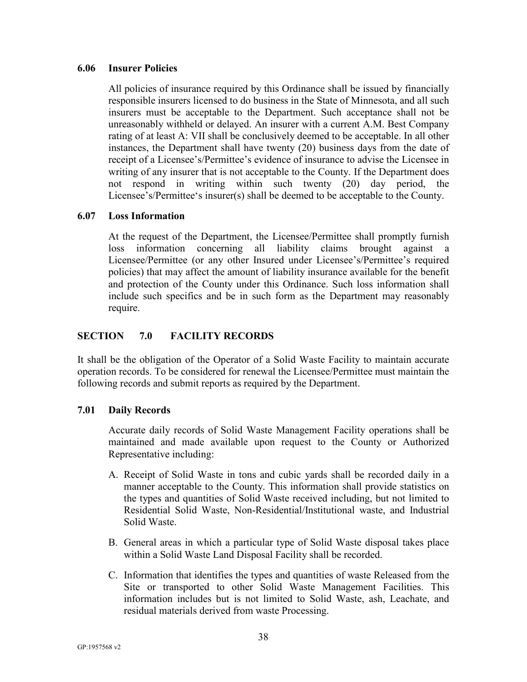#### **6.06 Insurer Policies**

All policies of insurance required by this Ordinance shall be issued by financially responsible insurers licensed to do business in the State of Minnesota, and all such insurers must be acceptable to the Department. Such acceptance shall not be unreasonably withheld or delayed. An insurer with a current A.M. Best Company rating of at least A: VII shall be conclusively deemed to be acceptable. In all other instances, the Department shall have twenty (20) business days from the date of receipt of a Licensee's/Permittee's evidence of insurance to advise the Licensee in writing of any insurer that is not acceptable to the County. If the Department does not respond in writing within such twenty (20) day period, the Licensee's/Permittee's insurer(s) shall be deemed to be acceptable to the County.

#### **6.07 Loss Information**

At the request of the Department, the Licensee/Permittee shall promptly furnish loss information concerning all liability claims brought against a Licensee/Permittee (or any other Insured under Licensee's/Permittee's required policies) that may affect the amount of liability insurance available for the benefit and protection of the County under this Ordinance. Such loss information shall include such specifics and be in such form as the Department may reasonably require.

# <span id="page-40-0"></span>**SECTION 7.0 FACILITY RECORDS**

It shall be the obligation of the Operator of a Solid Waste Facility to maintain accurate operation records. To be considered for renewal the Licensee/Permittee must maintain the following records and submit reports as required by the Department.

#### **7.01 Daily Records**

Accurate daily records of Solid Waste Management Facility operations shall be maintained and made available upon request to the County or Authorized Representative including:

- A. Receipt of Solid Waste in tons and cubic yards shall be recorded daily in a manner acceptable to the County. This information shall provide statistics on the types and quantities of Solid Waste received including, but not limited to Residential Solid Waste, Non-Residential/Institutional waste, and Industrial Solid Waste.
- B. General areas in which a particular type of Solid Waste disposal takes place within a Solid Waste Land Disposal Facility shall be recorded.
- C. Information that identifies the types and quantities of waste Released from the Site or transported to other Solid Waste Management Facilities. This information includes but is not limited to Solid Waste, ash, Leachate, and residual materials derived from waste Processing.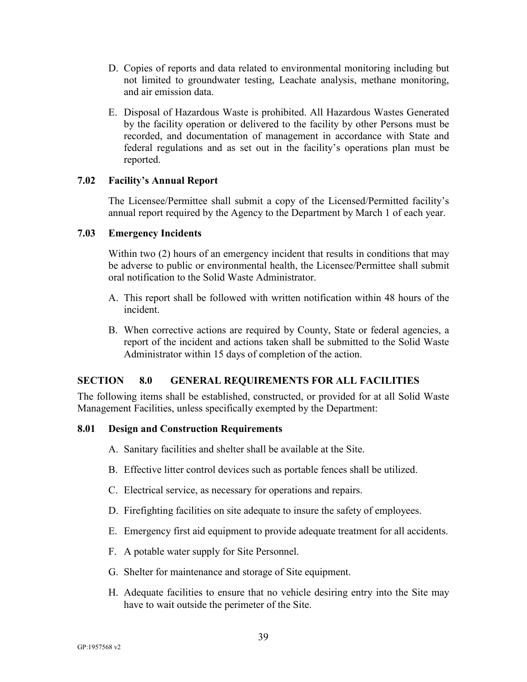- D. Copies of reports and data related to environmental monitoring including but not limited to groundwater testing, Leachate analysis, methane monitoring, and air emission data.
- E. Disposal of Hazardous Waste is prohibited. All Hazardous Wastes Generated by the facility operation or delivered to the facility by other Persons must be recorded, and documentation of management in accordance with State and federal regulations and as set out in the facility's operations plan must be reported.

#### **7.02 Facility's Annual Report**

The Licensee/Permittee shall submit a copy of the Licensed/Permitted facility's annual report required by the Agency to the Department by March 1 of each year.

#### **7.03 Emergency Incidents**

Within two (2) hours of an emergency incident that results in conditions that may be adverse to public or environmental health, the Licensee/Permittee shall submit oral notification to the Solid Waste Administrator.

- A. This report shall be followed with written notification within 48 hours of the incident.
- B. When corrective actions are required by County, State or federal agencies, a report of the incident and actions taken shall be submitted to the Solid Waste Administrator within 15 days of completion of the action.

# <span id="page-41-0"></span>**SECTION 8.0 GENERAL REQUIREMENTS FOR ALL FACILITIES**

The following items shall be established, constructed, or provided for at all Solid Waste Management Facilities, unless specifically exempted by the Department:

#### **8.01 Design and Construction Requirements**

- A. Sanitary facilities and shelter shall be available at the Site.
- B. Effective litter control devices such as portable fences shall be utilized.
- C. Electrical service, as necessary for operations and repairs.
- D. Firefighting facilities on site adequate to insure the safety of employees.
- E. Emergency first aid equipment to provide adequate treatment for all accidents.
- F. A potable water supply for Site Personnel.
- G. Shelter for maintenance and storage of Site equipment.
- H. Adequate facilities to ensure that no vehicle desiring entry into the Site may have to wait outside the perimeter of the Site.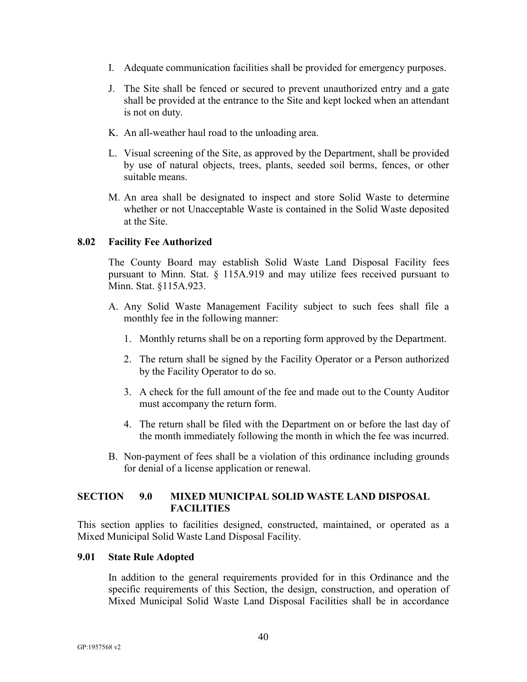- I. Adequate communication facilities shall be provided for emergency purposes.
- J. The Site shall be fenced or secured to prevent unauthorized entry and a gate shall be provided at the entrance to the Site and kept locked when an attendant is not on duty.
- K. An all-weather haul road to the unloading area.
- L. Visual screening of the Site, as approved by the Department, shall be provided by use of natural objects, trees, plants, seeded soil berms, fences, or other suitable means.
- M. An area shall be designated to inspect and store Solid Waste to determine whether or not Unacceptable Waste is contained in the Solid Waste deposited at the Site.

#### **8.02 Facility Fee Authorized**

The County Board may establish Solid Waste Land Disposal Facility fees pursuant to Minn. Stat. § 115A.919 and may utilize fees received pursuant to Minn. Stat. §115A.923.

- A. Any Solid Waste Management Facility subject to such fees shall file a monthly fee in the following manner:
	- 1. Monthly returns shall be on a reporting form approved by the Department.
	- 2. The return shall be signed by the Facility Operator or a Person authorized by the Facility Operator to do so.
	- 3. A check for the full amount of the fee and made out to the County Auditor must accompany the return form.
	- 4. The return shall be filed with the Department on or before the last day of the month immediately following the month in which the fee was incurred.
- B. Non-payment of fees shall be a violation of this ordinance including grounds for denial of a license application or renewal.

# <span id="page-42-0"></span>**SECTION 9.0 MIXED MUNICIPAL SOLID WASTE LAND DISPOSAL FACILITIES**

This section applies to facilities designed, constructed, maintained, or operated as a Mixed Municipal Solid Waste Land Disposal Facility.

#### **9.01 State Rule Adopted**

In addition to the general requirements provided for in this Ordinance and the specific requirements of this Section, the design, construction, and operation of Mixed Municipal Solid Waste Land Disposal Facilities shall be in accordance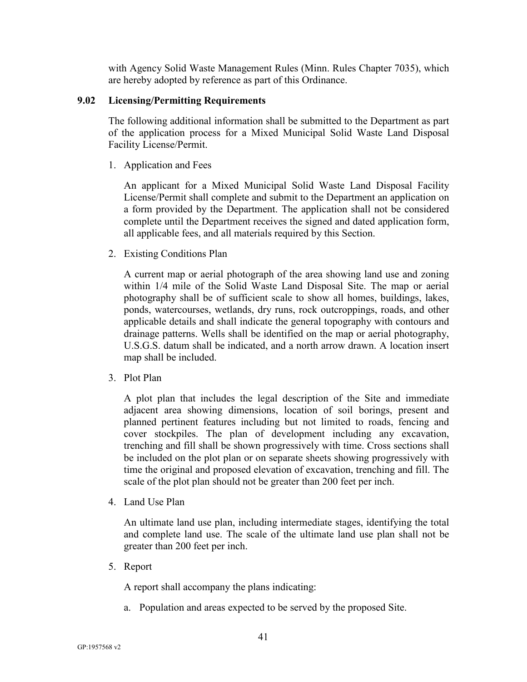with Agency Solid Waste Management Rules (Minn. Rules Chapter 7035), which are hereby adopted by reference as part of this Ordinance.

#### **9.02 Licensing/Permitting Requirements**

The following additional information shall be submitted to the Department as part of the application process for a Mixed Municipal Solid Waste Land Disposal Facility License/Permit.

1. Application and Fees

An applicant for a Mixed Municipal Solid Waste Land Disposal Facility License/Permit shall complete and submit to the Department an application on a form provided by the Department. The application shall not be considered complete until the Department receives the signed and dated application form, all applicable fees, and all materials required by this Section.

2. Existing Conditions Plan

A current map or aerial photograph of the area showing land use and zoning within 1/4 mile of the Solid Waste Land Disposal Site. The map or aerial photography shall be of sufficient scale to show all homes, buildings, lakes, ponds, watercourses, wetlands, dry runs, rock outcroppings, roads, and other applicable details and shall indicate the general topography with contours and drainage patterns. Wells shall be identified on the map or aerial photography, U.S.G.S. datum shall be indicated, and a north arrow drawn. A location insert map shall be included.

3. Plot Plan

A plot plan that includes the legal description of the Site and immediate adjacent area showing dimensions, location of soil borings, present and planned pertinent features including but not limited to roads, fencing and cover stockpiles. The plan of development including any excavation, trenching and fill shall be shown progressively with time. Cross sections shall be included on the plot plan or on separate sheets showing progressively with time the original and proposed elevation of excavation, trenching and fill. The scale of the plot plan should not be greater than 200 feet per inch.

4. Land Use Plan

An ultimate land use plan, including intermediate stages, identifying the total and complete land use. The scale of the ultimate land use plan shall not be greater than 200 feet per inch.

5. Report

A report shall accompany the plans indicating:

a. Population and areas expected to be served by the proposed Site.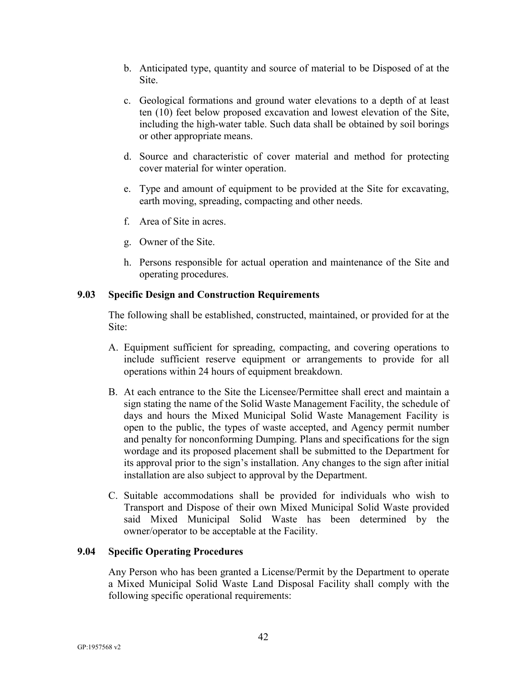- b. Anticipated type, quantity and source of material to be Disposed of at the Site.
- c. Geological formations and ground water elevations to a depth of at least ten (10) feet below proposed excavation and lowest elevation of the Site, including the high-water table. Such data shall be obtained by soil borings or other appropriate means.
- d. Source and characteristic of cover material and method for protecting cover material for winter operation.
- e. Type and amount of equipment to be provided at the Site for excavating, earth moving, spreading, compacting and other needs.
- f. Area of Site in acres.
- g. Owner of the Site.
- h. Persons responsible for actual operation and maintenance of the Site and operating procedures.

# **9.03 Specific Design and Construction Requirements**

The following shall be established, constructed, maintained, or provided for at the Site:

- A. Equipment sufficient for spreading, compacting, and covering operations to include sufficient reserve equipment or arrangements to provide for all operations within 24 hours of equipment breakdown.
- B. At each entrance to the Site the Licensee/Permittee shall erect and maintain a sign stating the name of the Solid Waste Management Facility, the schedule of days and hours the Mixed Municipal Solid Waste Management Facility is open to the public, the types of waste accepted, and Agency permit number and penalty for nonconforming Dumping. Plans and specifications for the sign wordage and its proposed placement shall be submitted to the Department for its approval prior to the sign's installation. Any changes to the sign after initial installation are also subject to approval by the Department.
- C. Suitable accommodations shall be provided for individuals who wish to Transport and Dispose of their own Mixed Municipal Solid Waste provided said Mixed Municipal Solid Waste has been determined by the owner/operator to be acceptable at the Facility.

# **9.04 Specific Operating Procedures**

Any Person who has been granted a License/Permit by the Department to operate a Mixed Municipal Solid Waste Land Disposal Facility shall comply with the following specific operational requirements: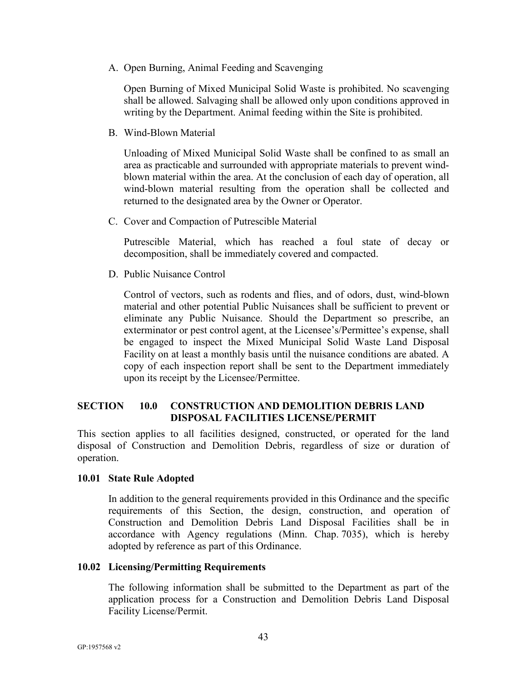A. Open Burning, Animal Feeding and Scavenging

Open Burning of Mixed Municipal Solid Waste is prohibited. No scavenging shall be allowed. Salvaging shall be allowed only upon conditions approved in writing by the Department. Animal feeding within the Site is prohibited.

B. Wind-Blown Material

Unloading of Mixed Municipal Solid Waste shall be confined to as small an area as practicable and surrounded with appropriate materials to prevent windblown material within the area. At the conclusion of each day of operation, all wind-blown material resulting from the operation shall be collected and returned to the designated area by the Owner or Operator.

C. Cover and Compaction of Putrescible Material

Putrescible Material, which has reached a foul state of decay or decomposition, shall be immediately covered and compacted.

D. Public Nuisance Control

Control of vectors, such as rodents and flies, and of odors, dust, wind-blown material and other potential Public Nuisances shall be sufficient to prevent or eliminate any Public Nuisance. Should the Department so prescribe, an exterminator or pest control agent, at the Licensee's/Permittee's expense, shall be engaged to inspect the Mixed Municipal Solid Waste Land Disposal Facility on at least a monthly basis until the nuisance conditions are abated. A copy of each inspection report shall be sent to the Department immediately upon its receipt by the Licensee/Permittee.

# <span id="page-45-0"></span>**SECTION 10.0 CONSTRUCTION AND DEMOLITION DEBRIS LAND DISPOSAL FACILITIES LICENSE/PERMIT**

This section applies to all facilities designed, constructed, or operated for the land disposal of Construction and Demolition Debris, regardless of size or duration of operation.

#### **10.01 State Rule Adopted**

In addition to the general requirements provided in this Ordinance and the specific requirements of this Section, the design, construction, and operation of Construction and Demolition Debris Land Disposal Facilities shall be in accordance with Agency regulations (Minn. Chap. 7035), which is hereby adopted by reference as part of this Ordinance.

#### **10.02 Licensing/Permitting Requirements**

The following information shall be submitted to the Department as part of the application process for a Construction and Demolition Debris Land Disposal Facility License/Permit.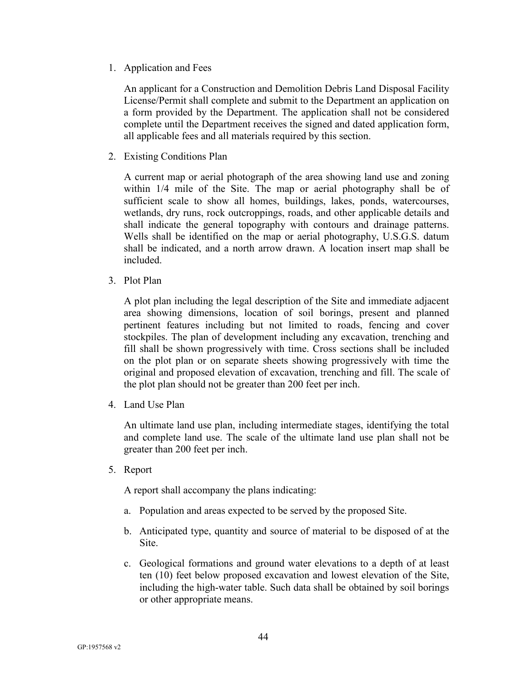1. Application and Fees

An applicant for a Construction and Demolition Debris Land Disposal Facility License/Permit shall complete and submit to the Department an application on a form provided by the Department. The application shall not be considered complete until the Department receives the signed and dated application form, all applicable fees and all materials required by this section.

2. Existing Conditions Plan

A current map or aerial photograph of the area showing land use and zoning within 1/4 mile of the Site. The map or aerial photography shall be of sufficient scale to show all homes, buildings, lakes, ponds, watercourses, wetlands, dry runs, rock outcroppings, roads, and other applicable details and shall indicate the general topography with contours and drainage patterns. Wells shall be identified on the map or aerial photography, U.S.G.S. datum shall be indicated, and a north arrow drawn. A location insert map shall be included.

3. Plot Plan

A plot plan including the legal description of the Site and immediate adjacent area showing dimensions, location of soil borings, present and planned pertinent features including but not limited to roads, fencing and cover stockpiles. The plan of development including any excavation, trenching and fill shall be shown progressively with time. Cross sections shall be included on the plot plan or on separate sheets showing progressively with time the original and proposed elevation of excavation, trenching and fill. The scale of the plot plan should not be greater than 200 feet per inch.

4. Land Use Plan

An ultimate land use plan, including intermediate stages, identifying the total and complete land use. The scale of the ultimate land use plan shall not be greater than 200 feet per inch.

5. Report

A report shall accompany the plans indicating:

- a. Population and areas expected to be served by the proposed Site.
- b. Anticipated type, quantity and source of material to be disposed of at the Site.
- c. Geological formations and ground water elevations to a depth of at least ten (10) feet below proposed excavation and lowest elevation of the Site, including the high-water table. Such data shall be obtained by soil borings or other appropriate means.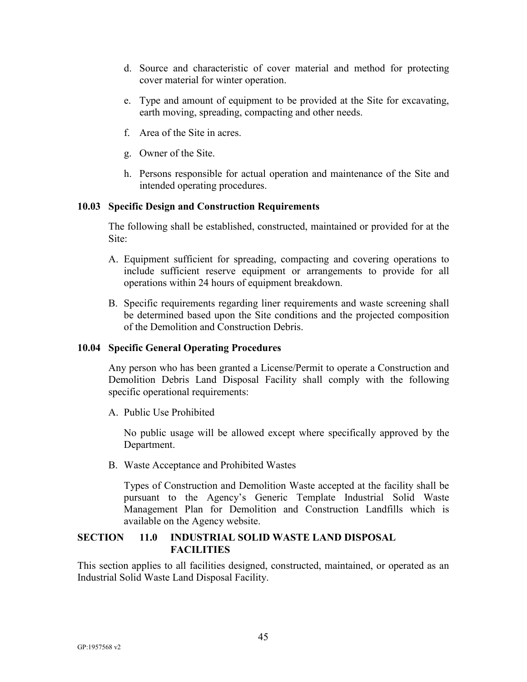- d. Source and characteristic of cover material and method for protecting cover material for winter operation.
- e. Type and amount of equipment to be provided at the Site for excavating, earth moving, spreading, compacting and other needs.
- f. Area of the Site in acres.
- g. Owner of the Site.
- h. Persons responsible for actual operation and maintenance of the Site and intended operating procedures.

### **10.03 Specific Design and Construction Requirements**

The following shall be established, constructed, maintained or provided for at the Site:

- A. Equipment sufficient for spreading, compacting and covering operations to include sufficient reserve equipment or arrangements to provide for all operations within 24 hours of equipment breakdown.
- B. Specific requirements regarding liner requirements and waste screening shall be determined based upon the Site conditions and the projected composition of the Demolition and Construction Debris.

#### **10.04 Specific General Operating Procedures**

Any person who has been granted a License/Permit to operate a Construction and Demolition Debris Land Disposal Facility shall comply with the following specific operational requirements:

A. Public Use Prohibited

No public usage will be allowed except where specifically approved by the Department.

B. Waste Acceptance and Prohibited Wastes

Types of Construction and Demolition Waste accepted at the facility shall be pursuant to the Agency's Generic Template Industrial Solid Waste Management Plan for Demolition and Construction Landfills which is available on the Agency website.

# <span id="page-47-0"></span>**SECTION 11.0 INDUSTRIAL SOLID WASTE LAND DISPOSAL FACILITIES**

This section applies to all facilities designed, constructed, maintained, or operated as an Industrial Solid Waste Land Disposal Facility.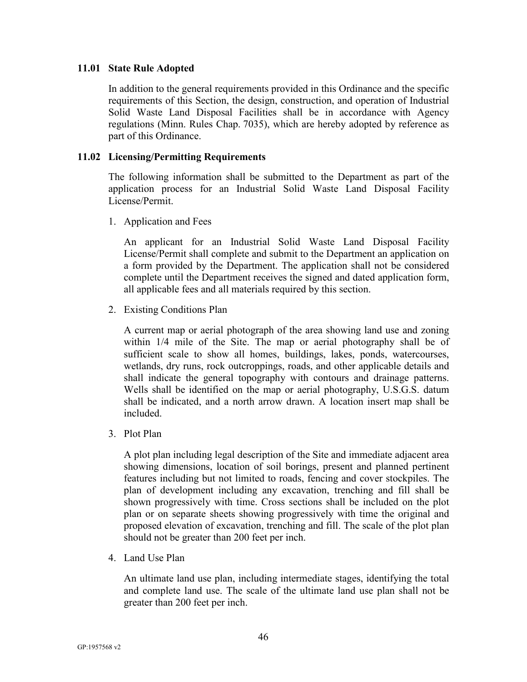#### **11.01 State Rule Adopted**

In addition to the general requirements provided in this Ordinance and the specific requirements of this Section, the design, construction, and operation of Industrial Solid Waste Land Disposal Facilities shall be in accordance with Agency regulations (Minn. Rules Chap. 7035), which are hereby adopted by reference as part of this Ordinance.

#### **11.02 Licensing/Permitting Requirements**

The following information shall be submitted to the Department as part of the application process for an Industrial Solid Waste Land Disposal Facility License/Permit.

1. Application and Fees

An applicant for an Industrial Solid Waste Land Disposal Facility License/Permit shall complete and submit to the Department an application on a form provided by the Department. The application shall not be considered complete until the Department receives the signed and dated application form, all applicable fees and all materials required by this section.

2. Existing Conditions Plan

A current map or aerial photograph of the area showing land use and zoning within 1/4 mile of the Site. The map or aerial photography shall be of sufficient scale to show all homes, buildings, lakes, ponds, watercourses, wetlands, dry runs, rock outcroppings, roads, and other applicable details and shall indicate the general topography with contours and drainage patterns. Wells shall be identified on the map or aerial photography, U.S.G.S. datum shall be indicated, and a north arrow drawn. A location insert map shall be included.

3. Plot Plan

A plot plan including legal description of the Site and immediate adjacent area showing dimensions, location of soil borings, present and planned pertinent features including but not limited to roads, fencing and cover stockpiles. The plan of development including any excavation, trenching and fill shall be shown progressively with time. Cross sections shall be included on the plot plan or on separate sheets showing progressively with time the original and proposed elevation of excavation, trenching and fill. The scale of the plot plan should not be greater than 200 feet per inch.

4. Land Use Plan

An ultimate land use plan, including intermediate stages, identifying the total and complete land use. The scale of the ultimate land use plan shall not be greater than 200 feet per inch.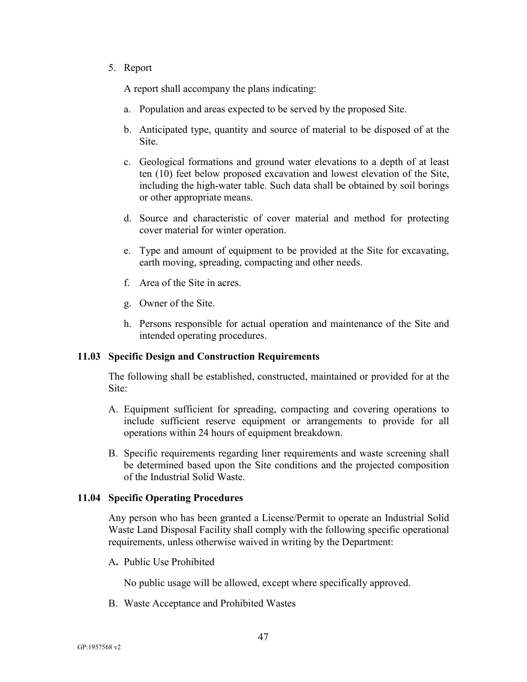#### 5. Report

A report shall accompany the plans indicating:

- a. Population and areas expected to be served by the proposed Site.
- b. Anticipated type, quantity and source of material to be disposed of at the Site.
- c. Geological formations and ground water elevations to a depth of at least ten (10) feet below proposed excavation and lowest elevation of the Site, including the high-water table. Such data shall be obtained by soil borings or other appropriate means.
- d. Source and characteristic of cover material and method for protecting cover material for winter operation.
- e. Type and amount of equipment to be provided at the Site for excavating, earth moving, spreading, compacting and other needs.
- f. Area of the Site in acres.
- g. Owner of the Site.
- h. Persons responsible for actual operation and maintenance of the Site and intended operating procedures.

#### **11.03 Specific Design and Construction Requirements**

The following shall be established, constructed, maintained or provided for at the Site:

- A. Equipment sufficient for spreading, compacting and covering operations to include sufficient reserve equipment or arrangements to provide for all operations within 24 hours of equipment breakdown.
- B. Specific requirements regarding liner requirements and waste screening shall be determined based upon the Site conditions and the projected composition of the Industrial Solid Waste.

#### **11.04 Specific Operating Procedures**

Any person who has been granted a License/Permit to operate an Industrial Solid Waste Land Disposal Facility shall comply with the following specific operational requirements, unless otherwise waived in writing by the Department:

A**.** Public Use Prohibited

No public usage will be allowed, except where specifically approved.

B. Waste Acceptance and Prohibited Wastes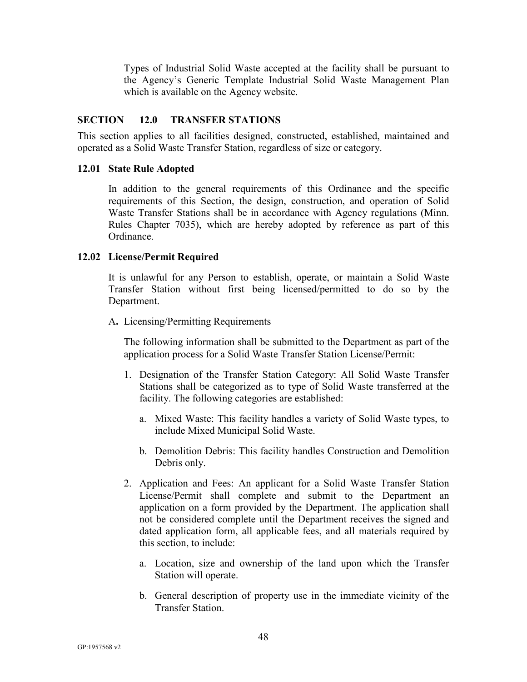Types of Industrial Solid Waste accepted at the facility shall be pursuant to the Agency's Generic Template Industrial Solid Waste Management Plan which is available on the Agency website.

# <span id="page-50-0"></span>**SECTION 12.0 TRANSFER STATIONS**

This section applies to all facilities designed, constructed, established, maintained and operated as a Solid Waste Transfer Station, regardless of size or category.

#### **12.01 State Rule Adopted**

In addition to the general requirements of this Ordinance and the specific requirements of this Section, the design, construction, and operation of Solid Waste Transfer Stations shall be in accordance with Agency regulations (Minn. Rules Chapter 7035), which are hereby adopted by reference as part of this Ordinance.

#### **12.02 License/Permit Required**

It is unlawful for any Person to establish, operate, or maintain a Solid Waste Transfer Station without first being licensed/permitted to do so by the Department.

#### A**.** Licensing/Permitting Requirements

The following information shall be submitted to the Department as part of the application process for a Solid Waste Transfer Station License/Permit:

- 1. Designation of the Transfer Station Category: All Solid Waste Transfer Stations shall be categorized as to type of Solid Waste transferred at the facility. The following categories are established:
	- a. Mixed Waste: This facility handles a variety of Solid Waste types, to include Mixed Municipal Solid Waste.
	- b. Demolition Debris: This facility handles Construction and Demolition Debris only.
- 2. Application and Fees: An applicant for a Solid Waste Transfer Station License/Permit shall complete and submit to the Department an application on a form provided by the Department. The application shall not be considered complete until the Department receives the signed and dated application form, all applicable fees, and all materials required by this section, to include:
	- a. Location, size and ownership of the land upon which the Transfer Station will operate.
	- b. General description of property use in the immediate vicinity of the Transfer Station.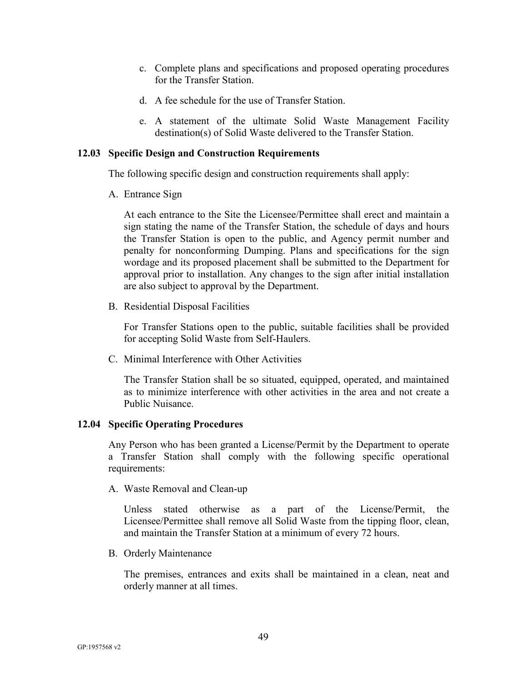- c. Complete plans and specifications and proposed operating procedures for the Transfer Station.
- d. A fee schedule for the use of Transfer Station.
- e. A statement of the ultimate Solid Waste Management Facility destination(s) of Solid Waste delivered to the Transfer Station.

### **12.03 Specific Design and Construction Requirements**

The following specific design and construction requirements shall apply:

A. Entrance Sign

At each entrance to the Site the Licensee/Permittee shall erect and maintain a sign stating the name of the Transfer Station, the schedule of days and hours the Transfer Station is open to the public, and Agency permit number and penalty for nonconforming Dumping. Plans and specifications for the sign wordage and its proposed placement shall be submitted to the Department for approval prior to installation. Any changes to the sign after initial installation are also subject to approval by the Department.

B. Residential Disposal Facilities

For Transfer Stations open to the public, suitable facilities shall be provided for accepting Solid Waste from Self-Haulers.

C. Minimal Interference with Other Activities

The Transfer Station shall be so situated, equipped, operated, and maintained as to minimize interference with other activities in the area and not create a Public Nuisance.

#### **12.04 Specific Operating Procedures**

Any Person who has been granted a License/Permit by the Department to operate a Transfer Station shall comply with the following specific operational requirements:

A. Waste Removal and Clean-up

Unless stated otherwise as a part of the License/Permit, the Licensee/Permittee shall remove all Solid Waste from the tipping floor, clean, and maintain the Transfer Station at a minimum of every 72 hours.

B. Orderly Maintenance

The premises, entrances and exits shall be maintained in a clean, neat and orderly manner at all times.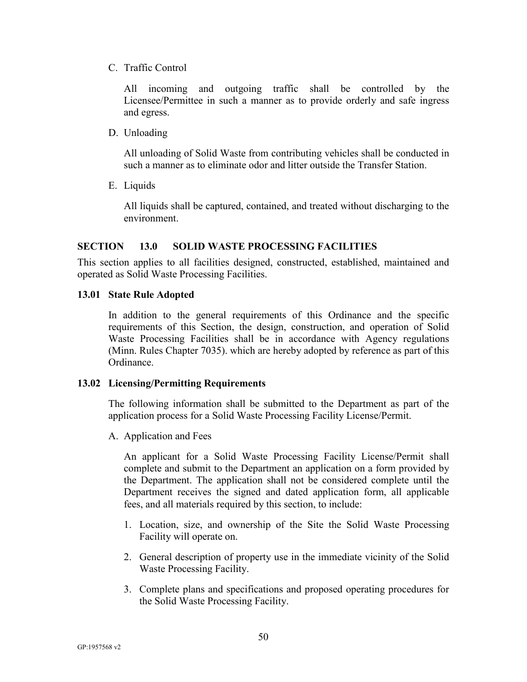C. Traffic Control

All incoming and outgoing traffic shall be controlled by the Licensee/Permittee in such a manner as to provide orderly and safe ingress and egress.

D. Unloading

All unloading of Solid Waste from contributing vehicles shall be conducted in such a manner as to eliminate odor and litter outside the Transfer Station.

E. Liquids

All liquids shall be captured, contained, and treated without discharging to the environment.

# <span id="page-52-0"></span>**SECTION 13.0 SOLID WASTE PROCESSING FACILITIES**

This section applies to all facilities designed, constructed, established, maintained and operated as Solid Waste Processing Facilities.

#### **13.01 State Rule Adopted**

In addition to the general requirements of this Ordinance and the specific requirements of this Section, the design, construction, and operation of Solid Waste Processing Facilities shall be in accordance with Agency regulations (Minn. Rules Chapter 7035). which are hereby adopted by reference as part of this Ordinance.

#### **13.02 Licensing/Permitting Requirements**

The following information shall be submitted to the Department as part of the application process for a Solid Waste Processing Facility License/Permit.

A. Application and Fees

An applicant for a Solid Waste Processing Facility License/Permit shall complete and submit to the Department an application on a form provided by the Department. The application shall not be considered complete until the Department receives the signed and dated application form, all applicable fees, and all materials required by this section, to include:

- 1. Location, size, and ownership of the Site the Solid Waste Processing Facility will operate on.
- 2. General description of property use in the immediate vicinity of the Solid Waste Processing Facility.
- 3. Complete plans and specifications and proposed operating procedures for the Solid Waste Processing Facility.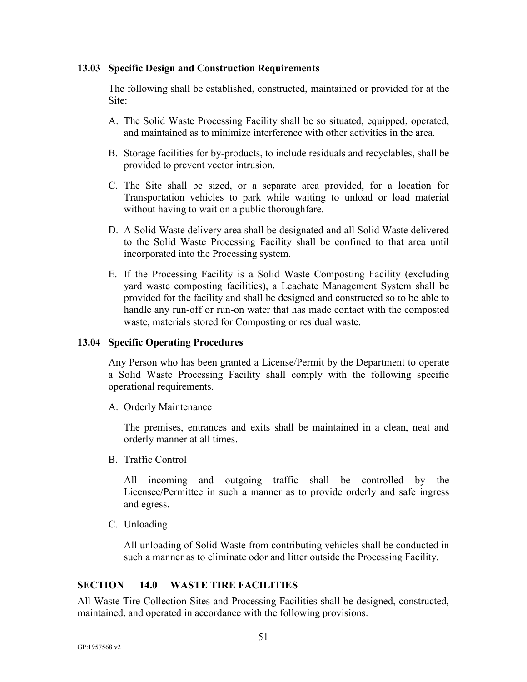#### **13.03 Specific Design and Construction Requirements**

The following shall be established, constructed, maintained or provided for at the Site:

- A. The Solid Waste Processing Facility shall be so situated, equipped, operated, and maintained as to minimize interference with other activities in the area.
- B. Storage facilities for by-products, to include residuals and recyclables, shall be provided to prevent vector intrusion.
- C. The Site shall be sized, or a separate area provided, for a location for Transportation vehicles to park while waiting to unload or load material without having to wait on a public thoroughfare.
- D. A Solid Waste delivery area shall be designated and all Solid Waste delivered to the Solid Waste Processing Facility shall be confined to that area until incorporated into the Processing system.
- E. If the Processing Facility is a Solid Waste Composting Facility (excluding yard waste composting facilities), a Leachate Management System shall be provided for the facility and shall be designed and constructed so to be able to handle any run-off or run-on water that has made contact with the composted waste, materials stored for Composting or residual waste.

#### **13.04 Specific Operating Procedures**

Any Person who has been granted a License/Permit by the Department to operate a Solid Waste Processing Facility shall comply with the following specific operational requirements.

A. Orderly Maintenance

The premises, entrances and exits shall be maintained in a clean, neat and orderly manner at all times.

B. Traffic Control

All incoming and outgoing traffic shall be controlled by the Licensee/Permittee in such a manner as to provide orderly and safe ingress and egress.

C. Unloading

All unloading of Solid Waste from contributing vehicles shall be conducted in such a manner as to eliminate odor and litter outside the Processing Facility.

# <span id="page-53-0"></span>**SECTION 14.0 WASTE TIRE FACILITIES**

All Waste Tire Collection Sites and Processing Facilities shall be designed, constructed, maintained, and operated in accordance with the following provisions.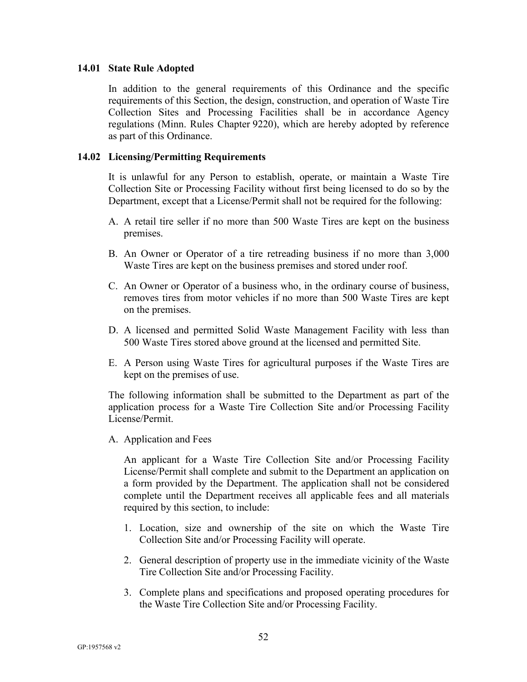#### **14.01 State Rule Adopted**

In addition to the general requirements of this Ordinance and the specific requirements of this Section, the design, construction, and operation of Waste Tire Collection Sites and Processing Facilities shall be in accordance Agency regulations (Minn. Rules Chapter 9220), which are hereby adopted by reference as part of this Ordinance.

#### **14.02 Licensing/Permitting Requirements**

It is unlawful for any Person to establish, operate, or maintain a Waste Tire Collection Site or Processing Facility without first being licensed to do so by the Department, except that a License/Permit shall not be required for the following:

- A. A retail tire seller if no more than 500 Waste Tires are kept on the business premises.
- B. An Owner or Operator of a tire retreading business if no more than 3,000 Waste Tires are kept on the business premises and stored under roof.
- C. An Owner or Operator of a business who, in the ordinary course of business, removes tires from motor vehicles if no more than 500 Waste Tires are kept on the premises.
- D. A licensed and permitted Solid Waste Management Facility with less than 500 Waste Tires stored above ground at the licensed and permitted Site.
- E. A Person using Waste Tires for agricultural purposes if the Waste Tires are kept on the premises of use.

The following information shall be submitted to the Department as part of the application process for a Waste Tire Collection Site and/or Processing Facility License/Permit.

A. Application and Fees

An applicant for a Waste Tire Collection Site and/or Processing Facility License/Permit shall complete and submit to the Department an application on a form provided by the Department. The application shall not be considered complete until the Department receives all applicable fees and all materials required by this section, to include:

- 1. Location, size and ownership of the site on which the Waste Tire Collection Site and/or Processing Facility will operate.
- 2. General description of property use in the immediate vicinity of the Waste Tire Collection Site and/or Processing Facility.
- 3. Complete plans and specifications and proposed operating procedures for the Waste Tire Collection Site and/or Processing Facility.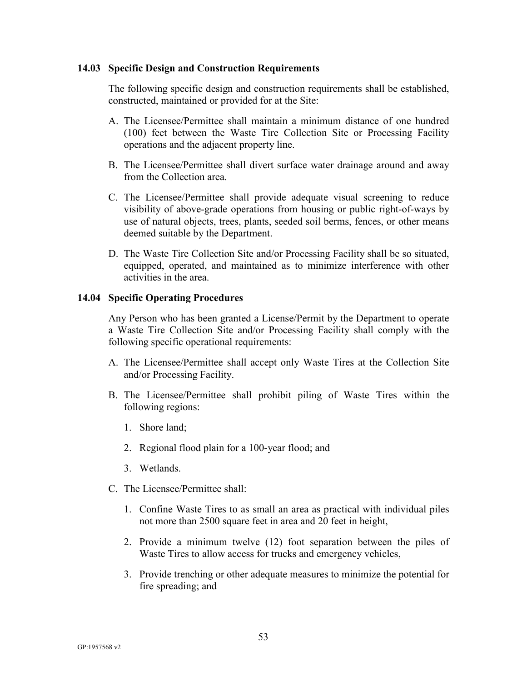#### **14.03 Specific Design and Construction Requirements**

The following specific design and construction requirements shall be established, constructed, maintained or provided for at the Site:

- A. The Licensee/Permittee shall maintain a minimum distance of one hundred (100) feet between the Waste Tire Collection Site or Processing Facility operations and the adjacent property line.
- B. The Licensee/Permittee shall divert surface water drainage around and away from the Collection area.
- C. The Licensee/Permittee shall provide adequate visual screening to reduce visibility of above-grade operations from housing or public right-of-ways by use of natural objects, trees, plants, seeded soil berms, fences, or other means deemed suitable by the Department.
- D. The Waste Tire Collection Site and/or Processing Facility shall be so situated, equipped, operated, and maintained as to minimize interference with other activities in the area.

#### **14.04 Specific Operating Procedures**

Any Person who has been granted a License/Permit by the Department to operate a Waste Tire Collection Site and/or Processing Facility shall comply with the following specific operational requirements:

- A. The Licensee/Permittee shall accept only Waste Tires at the Collection Site and/or Processing Facility.
- B. The Licensee/Permittee shall prohibit piling of Waste Tires within the following regions:
	- 1. Shore land;
	- 2. Regional flood plain for a 100-year flood; and
	- 3. Wetlands.
- C. The Licensee/Permittee shall:
	- 1. Confine Waste Tires to as small an area as practical with individual piles not more than 2500 square feet in area and 20 feet in height,
	- 2. Provide a minimum twelve (12) foot separation between the piles of Waste Tires to allow access for trucks and emergency vehicles,
	- 3. Provide trenching or other adequate measures to minimize the potential for fire spreading; and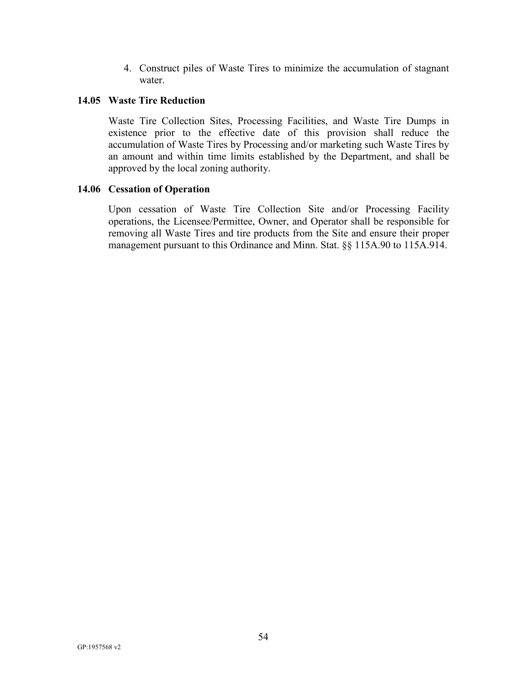4. Construct piles of Waste Tires to minimize the accumulation of stagnant water.

# **14.05 Waste Tire Reduction**

Waste Tire Collection Sites, Processing Facilities, and Waste Tire Dumps in existence prior to the effective date of this provision shall reduce the accumulation of Waste Tires by Processing and/or marketing such Waste Tires by an amount and within time limits established by the Department, and shall be approved by the local zoning authority.

#### **14.06 Cessation of Operation**

Upon cessation of Waste Tire Collection Site and/or Processing Facility operations, the Licensee/Permittee, Owner, and Operator shall be responsible for removing all Waste Tires and tire products from the Site and ensure their proper management pursuant to this Ordinance and Minn. Stat. §§ 115A.90 to 115A.914.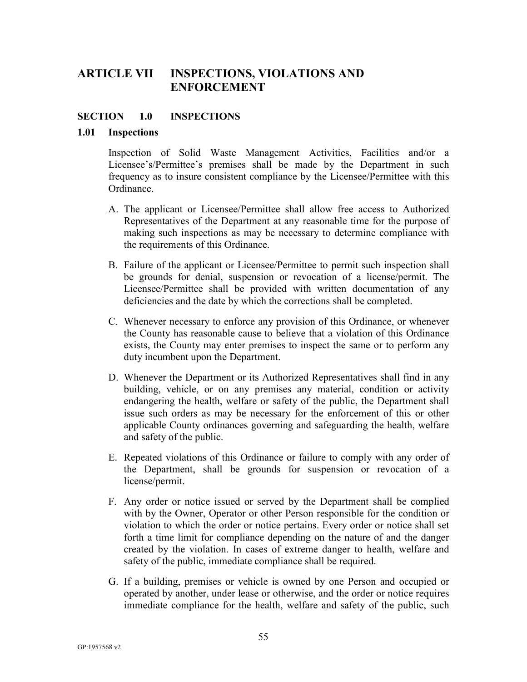# <span id="page-57-0"></span>**ARTICLE VII INSPECTIONS, VIOLATIONS AND ENFORCEMENT**

## <span id="page-57-1"></span>**SECTION 1.0 INSPECTIONS**

#### **1.01 Inspections**

Inspection of Solid Waste Management Activities, Facilities and/or a Licensee's/Permittee's premises shall be made by the Department in such frequency as to insure consistent compliance by the Licensee/Permittee with this Ordinance.

- A. The applicant or Licensee/Permittee shall allow free access to Authorized Representatives of the Department at any reasonable time for the purpose of making such inspections as may be necessary to determine compliance with the requirements of this Ordinance.
- B. Failure of the applicant or Licensee/Permittee to permit such inspection shall be grounds for denial, suspension or revocation of a license/permit. The Licensee/Permittee shall be provided with written documentation of any deficiencies and the date by which the corrections shall be completed.
- C. Whenever necessary to enforce any provision of this Ordinance, or whenever the County has reasonable cause to believe that a violation of this Ordinance exists, the County may enter premises to inspect the same or to perform any duty incumbent upon the Department.
- D. Whenever the Department or its Authorized Representatives shall find in any building, vehicle, or on any premises any material, condition or activity endangering the health, welfare or safety of the public, the Department shall issue such orders as may be necessary for the enforcement of this or other applicable County ordinances governing and safeguarding the health, welfare and safety of the public.
- E. Repeated violations of this Ordinance or failure to comply with any order of the Department, shall be grounds for suspension or revocation of a license/permit.
- F. Any order or notice issued or served by the Department shall be complied with by the Owner, Operator or other Person responsible for the condition or violation to which the order or notice pertains. Every order or notice shall set forth a time limit for compliance depending on the nature of and the danger created by the violation. In cases of extreme danger to health, welfare and safety of the public, immediate compliance shall be required.
- G. If a building, premises or vehicle is owned by one Person and occupied or operated by another, under lease or otherwise, and the order or notice requires immediate compliance for the health, welfare and safety of the public, such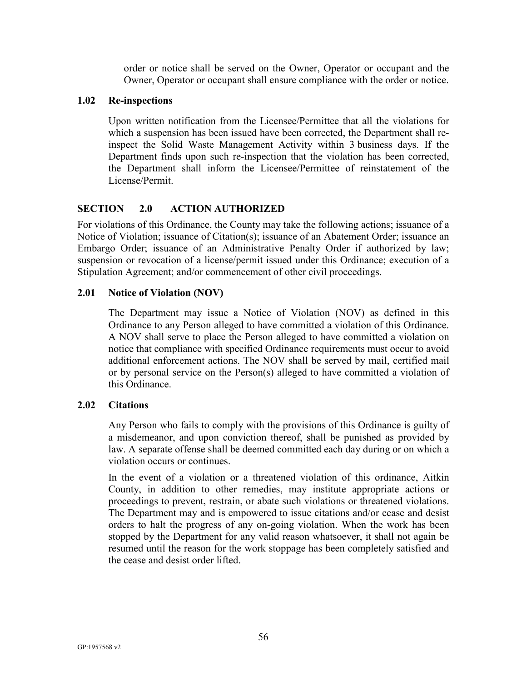order or notice shall be served on the Owner, Operator or occupant and the Owner, Operator or occupant shall ensure compliance with the order or notice.

## **1.02 Re-inspections**

Upon written notification from the Licensee/Permittee that all the violations for which a suspension has been issued have been corrected, the Department shall reinspect the Solid Waste Management Activity within 3 business days. If the Department finds upon such re-inspection that the violation has been corrected, the Department shall inform the Licensee/Permittee of reinstatement of the License/Permit.

# <span id="page-58-0"></span>**SECTION 2.0 ACTION AUTHORIZED**

For violations of this Ordinance, the County may take the following actions; issuance of a Notice of Violation; issuance of Citation(s); issuance of an Abatement Order; issuance an Embargo Order; issuance of an Administrative Penalty Order if authorized by law; suspension or revocation of a license/permit issued under this Ordinance; execution of a Stipulation Agreement; and/or commencement of other civil proceedings.

# **2.01 Notice of Violation (NOV)**

The Department may issue a Notice of Violation (NOV) as defined in this Ordinance to any Person alleged to have committed a violation of this Ordinance. A NOV shall serve to place the Person alleged to have committed a violation on notice that compliance with specified Ordinance requirements must occur to avoid additional enforcement actions. The NOV shall be served by mail, certified mail or by personal service on the Person(s) alleged to have committed a violation of this Ordinance.

# **2.02 Citations**

Any Person who fails to comply with the provisions of this Ordinance is guilty of a misdemeanor, and upon conviction thereof, shall be punished as provided by law. A separate offense shall be deemed committed each day during or on which a violation occurs or continues.

In the event of a violation or a threatened violation of this ordinance, Aitkin County, in addition to other remedies, may institute appropriate actions or proceedings to prevent, restrain, or abate such violations or threatened violations. The Department may and is empowered to issue citations and/or cease and desist orders to halt the progress of any on-going violation. When the work has been stopped by the Department for any valid reason whatsoever, it shall not again be resumed until the reason for the work stoppage has been completely satisfied and the cease and desist order lifted.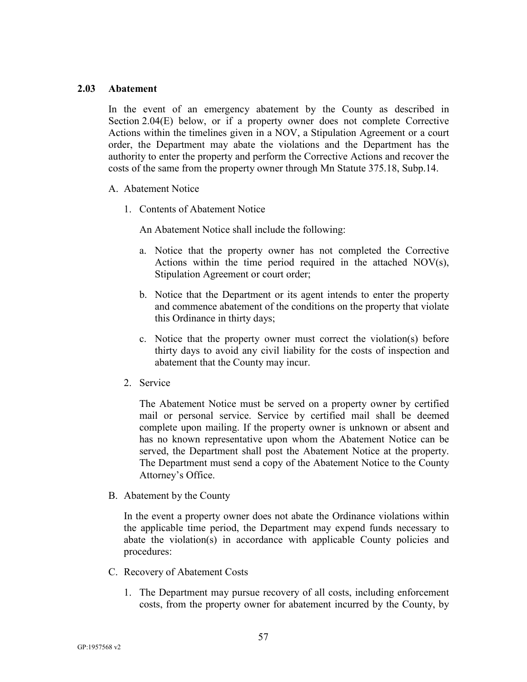#### **2.03 Abatement**

In the event of an emergency abatement by the County as described in Section 2.04(E) below, or if a property owner does not complete Corrective Actions within the timelines given in a NOV, a Stipulation Agreement or a court order, the Department may abate the violations and the Department has the authority to enter the property and perform the Corrective Actions and recover the costs of the same from the property owner through Mn Statute 375.18, Subp.14.

- A. Abatement Notice
	- 1. Contents of Abatement Notice

An Abatement Notice shall include the following:

- a. Notice that the property owner has not completed the Corrective Actions within the time period required in the attached NOV(s), Stipulation Agreement or court order;
- b. Notice that the Department or its agent intends to enter the property and commence abatement of the conditions on the property that violate this Ordinance in thirty days;
- c. Notice that the property owner must correct the violation(s) before thirty days to avoid any civil liability for the costs of inspection and abatement that the County may incur.
- 2. Service

The Abatement Notice must be served on a property owner by certified mail or personal service. Service by certified mail shall be deemed complete upon mailing. If the property owner is unknown or absent and has no known representative upon whom the Abatement Notice can be served, the Department shall post the Abatement Notice at the property. The Department must send a copy of the Abatement Notice to the County Attorney's Office.

B. Abatement by the County

In the event a property owner does not abate the Ordinance violations within the applicable time period, the Department may expend funds necessary to abate the violation(s) in accordance with applicable County policies and procedures:

- C. Recovery of Abatement Costs
	- 1. The Department may pursue recovery of all costs, including enforcement costs, from the property owner for abatement incurred by the County, by